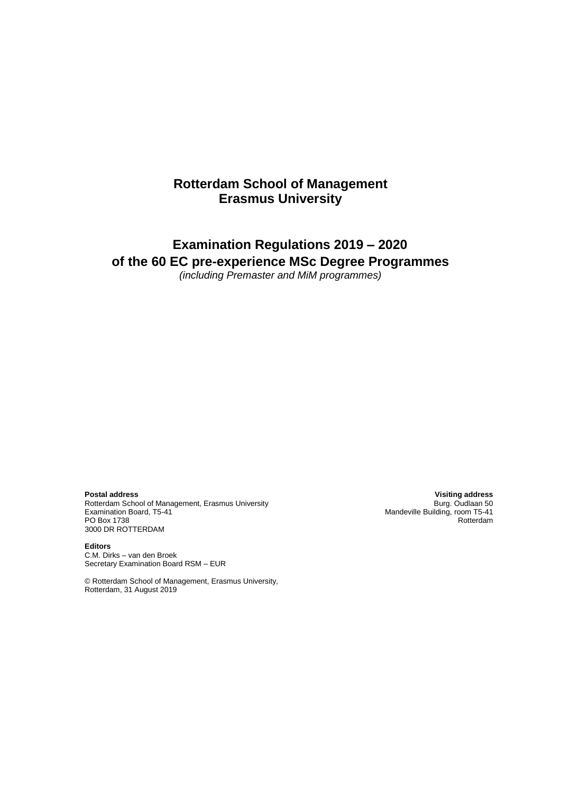# **Rotterdam School of Management Erasmus University**

# **Examination Regulations 2019 – 2020 of the 60 EC pre-experience MSc Degree Programmes**

*(including Premaster and MiM programmes)*

**Postal address Visiting address** Rotterdam School of Management, Erasmus University Examination Board, T5-41 Mandeville Building, room T5-41 Mandeville Building, room T5-41 PO Box 1738 PO Box 1738 3000 DR ROTTERDAM

**Editors** C.M. Dirks – van den Broek Secretary Examination Board RSM – EUR

© Rotterdam School of Management, Erasmus University, Rotterdam, 31 August 2019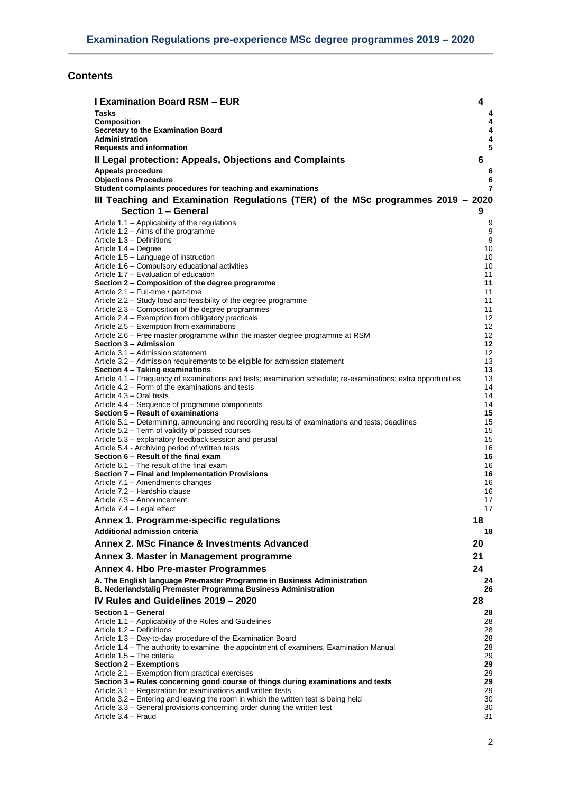# **Contents**

| <b>I Examination Board RSM - EUR</b>                                                                                                                             | 4        |
|------------------------------------------------------------------------------------------------------------------------------------------------------------------|----------|
| <b>Tasks</b>                                                                                                                                                     | 4        |
| <b>Composition</b><br>Secretary to the Examination Board                                                                                                         | 4<br>4   |
| <b>Administration</b>                                                                                                                                            | 4        |
| <b>Requests and information</b>                                                                                                                                  | 5        |
| Il Legal protection: Appeals, Objections and Complaints                                                                                                          | 6        |
| Appeals procedure<br><b>Objections Procedure</b>                                                                                                                 | 6<br>6   |
| Student complaints procedures for teaching and examinations                                                                                                      | 7        |
| III Teaching and Examination Regulations (TER) of the MSc programmes 2019 - 2020                                                                                 |          |
| <b>Section 1 - General</b>                                                                                                                                       | 9        |
| Article 1.1 – Applicability of the regulations<br>Article $1.2 - Aims$ of the programme                                                                          | 9<br>9   |
| Article 1.3 - Definitions                                                                                                                                        | 9        |
| Article 1.4 - Degree<br>Article 1.5 - Language of instruction                                                                                                    | 10<br>10 |
| Article 1.6 - Compulsory educational activities                                                                                                                  | 10       |
| Article 1.7 – Evaluation of education<br>Section 2 – Composition of the degree programme                                                                         | 11<br>11 |
| Article 2.1 - Full-time / part-time                                                                                                                              | 11       |
| Article 2.2 - Study load and feasibility of the degree programme<br>Article 2.3 – Composition of the degree programmes                                           | 11       |
| Article 2.4 – Exemption from obligatory practicals                                                                                                               | 11<br>12 |
| Article 2.5 - Exemption from examinations                                                                                                                        | 12       |
| Article 2.6 – Free master programme within the master degree programme at RSM<br>Section 3 - Admission                                                           | 12<br>12 |
| Article 3.1 - Admission statement                                                                                                                                | 12       |
| Article 3.2 – Admission requirements to be eligible for admission statement<br>Section 4 - Taking examinations                                                   | 13<br>13 |
| Article 4.1 – Frequency of examinations and tests; examination schedule; re-examinations; extra opportunities                                                    | 13       |
| Article 4.2 – Form of the examinations and tests<br>Article 4.3 – Oral tests                                                                                     | 14<br>14 |
| Article 4.4 – Sequence of programme components                                                                                                                   | 14       |
| Section 5 - Result of examinations<br>Article 5.1 – Determining, announcing and recording results of examinations and tests; deadlines                           | 15<br>15 |
| Article 5.2 – Term of validity of passed courses                                                                                                                 | 15       |
| Article 5.3 – explanatory feedback session and perusal                                                                                                           | 15       |
| Article 5.4 - Archiving period of written tests<br>Section 6 - Result of the final exam                                                                          | 16<br>16 |
| Article 6.1 – The result of the final exam                                                                                                                       | 16       |
| Section 7 - Final and Implementation Provisions<br>Article 7.1 - Amendments changes                                                                              | 16<br>16 |
| Article 7.2 - Hardship clause                                                                                                                                    | 16       |
| Article 7.3 - Announcement<br>Article 7.4 - Legal effect                                                                                                         | 17<br>17 |
| Annex 1. Programme-specific regulations                                                                                                                          | 18       |
| <b>Additional admission criteria</b>                                                                                                                             | 18       |
| Annex 2. MSc Finance & Investments Advanced                                                                                                                      | 20       |
| Annex 3. Master in Management programme                                                                                                                          | 21       |
| Annex 4. Hbo Pre-master Programmes                                                                                                                               | 24       |
| A. The English language Pre-master Programme in Business Administration<br>B. Nederlandstalig Premaster Programma Business Administration                        | 24<br>26 |
| IV Rules and Guidelines 2019 - 2020                                                                                                                              | 28       |
| Section 1 - General<br>Article 1.1 - Applicability of the Rules and Guidelines                                                                                   | 28<br>28 |
| Article 1.2 - Definitions                                                                                                                                        | 28       |
| Article 1.3 - Day-to-day procedure of the Examination Board                                                                                                      | 28       |
| Article 1.4 - The authority to examine, the appointment of examiners, Examination Manual<br>Article 1.5 - The criteria                                           | 28<br>29 |
| Section 2 – Exemptions                                                                                                                                           | 29       |
| Article 2.1 - Exemption from practical exercises<br>Section 3 – Rules concerning good course of things during examinations and tests                             | 29<br>29 |
| Article 3.1 – Registration for examinations and written tests                                                                                                    | 29       |
| Article 3.2 – Entering and leaving the room in which the written test is being held<br>Article 3.3 - General provisions concerning order during the written test | 30<br>30 |
| Article 3.4 – Fraud                                                                                                                                              | 31       |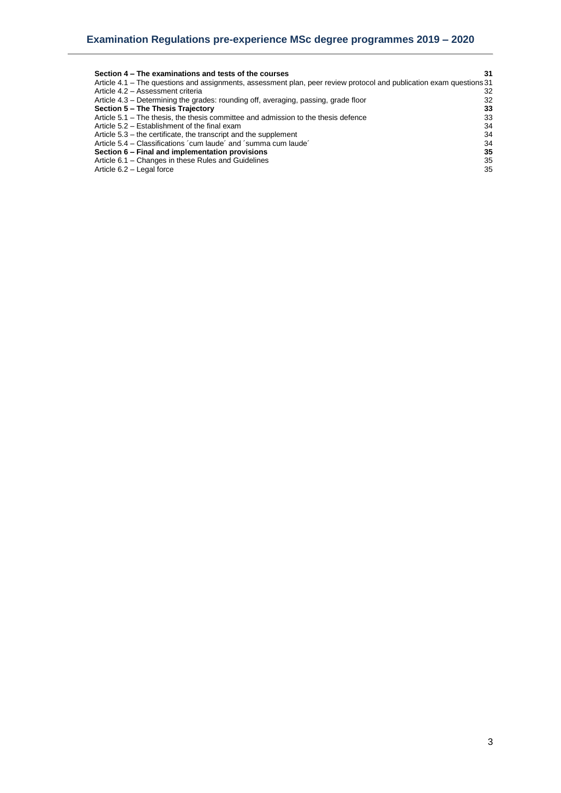| Section 4 – The examinations and tests of the courses                                                                | 31 |
|----------------------------------------------------------------------------------------------------------------------|----|
| Article 4.1 – The questions and assignments, assessment plan, peer review protocol and publication exam questions 31 |    |
| Article 4.2 - Assessment criteria                                                                                    | 32 |
| Article 4.3 – Determining the grades: rounding off, averaging, passing, grade floor                                  | 32 |
| Section 5 - The Thesis Trajectory                                                                                    | 33 |
| Article 5.1 – The thesis, the thesis committee and admission to the thesis defence                                   | 33 |
| Article 5.2 – Establishment of the final exam                                                                        | 34 |
| Article 5.3 – the certificate, the transcript and the supplement                                                     | 34 |
| Article 5.4 – Classifications 'cum laude' and 'summa cum laude'                                                      | 34 |
| Section 6 – Final and implementation provisions                                                                      | 35 |
| Article 6.1 - Changes in these Rules and Guidelines                                                                  | 35 |
| Article 6.2 - Legal force                                                                                            | 35 |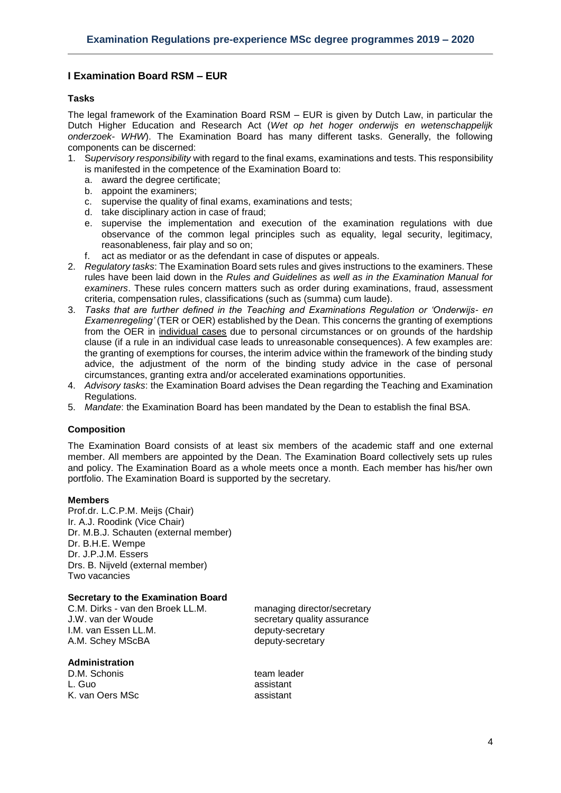# <span id="page-3-0"></span>**I Examination Board RSM – EUR**

# <span id="page-3-1"></span>**Tasks**

The legal framework of the Examination Board RSM – EUR is given by Dutch Law, in particular the Dutch Higher Education and Research Act (*Wet op het hoger onderwijs en wetenschappelijk onderzoek- WHW*). The Examination Board has many different tasks. Generally, the following components can be discerned:

- 1. S*upervisory responsibility* with regard to the final exams, examinations and tests. This responsibility is manifested in the competence of the Examination Board to:
	- a. award the degree certificate;
	- b. appoint the examiners;
	- c. supervise the quality of final exams, examinations and tests;
	- d. take disciplinary action in case of fraud;
	- e. supervise the implementation and execution of the examination regulations with due observance of the common legal principles such as equality, legal security, legitimacy, reasonableness, fair play and so on;
	- f. act as mediator or as the defendant in case of disputes or appeals.
- 2. *Regulatory tasks*: The Examination Board sets rules and gives instructions to the examiners. These rules have been laid down in the *Rules and Guidelines as well as in the Examination Manual for examiners*. These rules concern matters such as order during examinations, fraud, assessment criteria, compensation rules, classifications (such as (summa) cum laude).
- 3. *Tasks that are further defined in the Teaching and Examinations Regulation or 'Onderwijs- en Examenregeling'* (TER or OER) established by the Dean. This concerns the granting of exemptions from the OER in individual cases due to personal circumstances or on grounds of the hardship clause (if a rule in an individual case leads to unreasonable consequences). A few examples are: the granting of exemptions for courses, the interim advice within the framework of the binding study advice, the adjustment of the norm of the binding study advice in the case of personal circumstances, granting extra and/or accelerated examinations opportunities.
- 4. *Advisory tasks*: the Examination Board advises the Dean regarding the Teaching and Examination Regulations.
- <span id="page-3-2"></span>5. *Mandate*: the Examination Board has been mandated by the Dean to establish the final BSA.

# **Composition**

The Examination Board consists of at least six members of the academic staff and one external member. All members are appointed by the Dean. The Examination Board collectively sets up rules and policy. The Examination Board as a whole meets once a month. Each member has his/her own portfolio. The Examination Board is supported by the secretary.

#### **Members**

Prof.dr. L.C.P.M. Meijs (Chair) Ir. A.J. Roodink (Vice Chair) Dr. M.B.J. Schauten (external member) Dr. B.H.E. Wempe Dr. J.P.J.M. Essers Drs. B. Nijveld (external member) Two vacancies

#### <span id="page-3-3"></span>**Secretary to the Examination Board**

C.M. Dirks - van den Broek LL.M. managing director/secretary I.M. van Essen LL.M. et al. by deputy-secretary A.M. Schey MScBA deputy-secretary

#### <span id="page-3-4"></span>**Administration**

D.M. Schonis example and team leader L. Guo assistant K. van Oers MSc assistant

J.W. van der Woude secretary quality assurance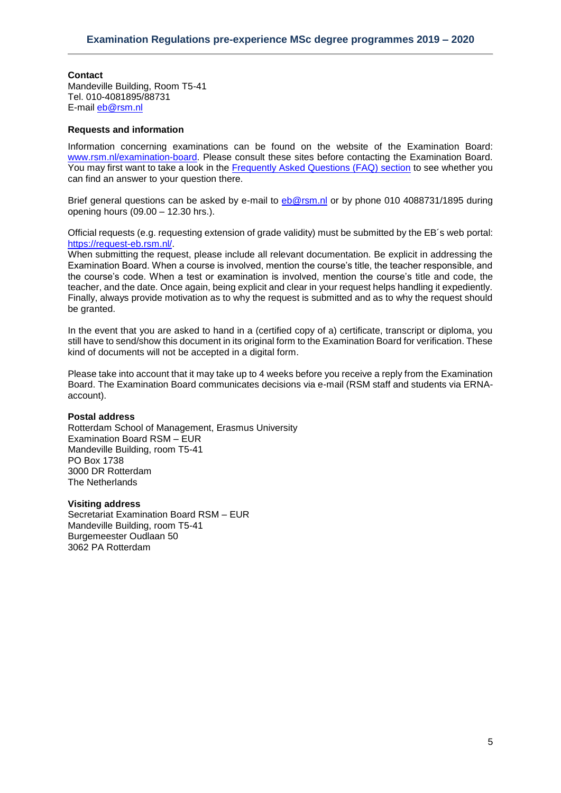# **Contact**

Mandeville Building, Room T5-41 Tel. 010-4081895/88731 E-mail [eb@rsm.nl](mailto:eb@rsm.nl)

## <span id="page-4-0"></span>**Requests and information**

Information concerning examinations can be found on the website of the Examination Board: [www.rsm.nl/examination-board.](http://www.rsm.nl/examination-board) Please consult these sites before contacting the Examination Board. You may first want to take a look in the [Frequently Asked Questions \(FAQ\) section](http://www.rsm.nl/examination-board/frequently-asked-questions-faqs/) to see whether you can find an answer to your question there.

Brief general questions can be asked by e-mail to [eb@rsm.nl](mailto:eb@rsm.nl) or by phone 010 4088731/1895 during opening hours (09.00 – 12.30 hrs.).

Official requests (e.g. requesting extension of grade validity) must be submitted by the EB´s web portal: [https://request-eb.rsm.nl/.](https://request-eb.rsm.nl/)

When submitting the request, please include all relevant documentation. Be explicit in addressing the Examination Board. When a course is involved, mention the course's title, the teacher responsible, and the course's code. When a test or examination is involved, mention the course's title and code, the teacher, and the date. Once again, being explicit and clear in your request helps handling it expediently. Finally, always provide motivation as to why the request is submitted and as to why the request should be granted.

In the event that you are asked to hand in a (certified copy of a) certificate, transcript or diploma, you still have to send/show this document in its original form to the Examination Board for verification. These kind of documents will not be accepted in a digital form.

Please take into account that it may take up to 4 weeks before you receive a reply from the Examination Board. The Examination Board communicates decisions via e-mail (RSM staff and students via ERNAaccount).

#### **Postal address**

Rotterdam School of Management, Erasmus University Examination Board RSM – EUR Mandeville Building, room T5-41 PO Box 1738 3000 DR Rotterdam The Netherlands

#### **Visiting address**

Secretariat Examination Board RSM – EUR Mandeville Building, room T5-41 Burgemeester Oudlaan 50 3062 PA Rotterdam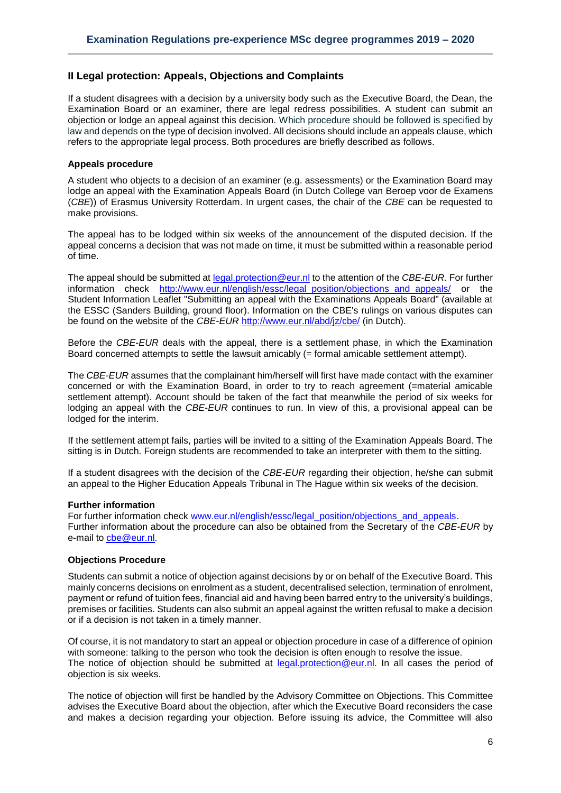## <span id="page-5-0"></span>**II Legal protection: Appeals, Objections and Complaints**

If a student disagrees with a decision by a university body such as the Executive Board, the Dean, the Examination Board or an examiner, there are legal redress possibilities. A student can submit an objection or lodge an appeal against this decision. Which procedure should be followed is specified by law and depends on the type of decision involved. All decisions should include an appeals clause, which refers to the appropriate legal process. Both procedures are briefly described as follows.

#### <span id="page-5-1"></span>**Appeals procedure**

A student who objects to a decision of an examiner (e.g. assessments) or the Examination Board may lodge an appeal with the Examination Appeals Board (in Dutch College van Beroep voor de Examens (*CBE*)) of Erasmus University Rotterdam. In urgent cases, the chair of the *CBE* can be requested to make provisions.

The appeal has to be lodged within six weeks of the announcement of the disputed decision. If the appeal concerns a decision that was not made on time, it must be submitted within a reasonable period of time.

The appeal should be submitted at [legal.protection@eur.nl](mailto:legal.protection@eur.nl) to the attention of the *CBE*-*EUR*. For further information check http://www.eur.nl/english/essc/legal\_position/objections and appeals/ or the Student Information Leaflet "Submitting an appeal with the Examinations Appeals Board" (available at the ESSC (Sanders Building, ground floor). Information on the CBE's rulings on various disputes can be found on the website of the *CBE-EUR* <http://www.eur.nl/abd/jz/cbe/> (in Dutch).

Before the *CBE*-*EUR* deals with the appeal, there is a settlement phase, in which the Examination Board concerned attempts to settle the lawsuit amicably (= formal amicable settlement attempt).

The *CBE*-*EUR* assumes that the complainant him/herself will first have made contact with the examiner concerned or with the Examination Board, in order to try to reach agreement (=material amicable settlement attempt). Account should be taken of the fact that meanwhile the period of six weeks for lodging an appeal with the *CBE*-*EUR* continues to run. In view of this, a provisional appeal can be lodged for the interim.

If the settlement attempt fails, parties will be invited to a sitting of the Examination Appeals Board. The sitting is in Dutch. Foreign students are recommended to take an interpreter with them to the sitting.

If a student disagrees with the decision of the *CBE-EUR* regarding their objection, he/she can submit an appeal to the Higher Education Appeals Tribunal in The Hague within six weeks of the decision.

#### **Further information**

For further information check [www.eur.nl/english/essc/legal\\_position/objections\\_and\\_appeals.](http://www.eur.nl/english/essc/legal_position/objections_and_appeals) Further information about the procedure can also be obtained from the Secretary of the *CBE-EUR* by e-mail to [cbe@eur.nl.](mailto:cbe@eur.nl)

#### <span id="page-5-2"></span>**Objections Procedure**

Students can submit a notice of objection against decisions by or on behalf of the Executive Board. This mainly concerns decisions on enrolment as a student, decentralised selection, termination of enrolment, payment or refund of tuition fees, financial aid and having been barred entry to the university's buildings, premises or facilities. Students can also submit an appeal against the written refusal to make a decision or if a decision is not taken in a timely manner.

Of course, it is not mandatory to start an appeal or objection procedure in case of a difference of opinion with someone: talking to the person who took the decision is often enough to resolve the issue. The notice of objection should be submitted at [legal.protection@eur.nl.](mailto:legal.protection@eur.nl) In all cases the period of objection is six weeks.

The notice of objection will first be handled by the Advisory Committee on Objections. This Committee advises the Executive Board about the objection, after which the Executive Board reconsiders the case and makes a decision regarding your objection. Before issuing its advice, the Committee will also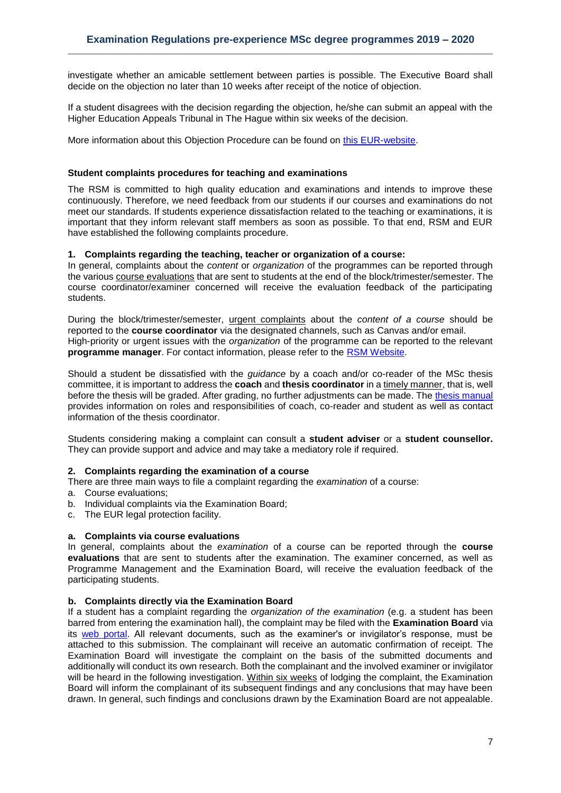investigate whether an amicable settlement between parties is possible. The Executive Board shall decide on the objection no later than 10 weeks after receipt of the notice of objection.

If a student disagrees with the decision regarding the objection, he/she can submit an appeal with the Higher Education Appeals Tribunal in The Hague within six weeks of the decision.

More information about this Objection Procedure can be found on [this EUR-website.](http://www.eur.nl/english/essc/legal_position/objections_and_appeals/)

## <span id="page-6-0"></span>**Student complaints procedures for teaching and examinations**

The RSM is committed to high quality education and examinations and intends to improve these continuously. Therefore, we need feedback from our students if our courses and examinations do not meet our standards. If students experience dissatisfaction related to the teaching or examinations, it is important that they inform relevant staff members as soon as possible. To that end, RSM and EUR have established the following complaints procedure.

#### **1. Complaints regarding the teaching, teacher or organization of a course:**

In general, complaints about the *content* or *organization* of the programmes can be reported through the various course evaluations that are sent to students at the end of the block/trimester/semester. The course coordinator/examiner concerned will receive the evaluation feedback of the participating students.

During the block/trimester/semester, urgent complaints about the *content of a course* should be reported to the **course coordinator** via the designated channels, such as Canvas and/or email. High-priority or urgent issues with the *organization* of the programme can be reported to the relevant **programme manager**. For contact information, please refer to the [RSM Website.](https://www.rsm.nl/information-for/current-students/)

Should a student be dissatisfied with the *guidance* by a coach and/or co-reader of the MSc thesis committee, it is important to address the **coach** and **thesis coordinator** in a timely manner, that is, well before the thesis will be graded. After grading, no further adjustments can be made. The [thesis manual](https://www.rsm.nl/fileadmin/Images_NEW/Current_Students/Master/Master_Thesis_manual_17-18__def.pdf) provides information on roles and responsibilities of coach, co-reader and student as well as contact information of the thesis coordinator.

Students considering making a complaint can consult a **student adviser** or a **student counsellor.**  They can provide support and advice and may take a mediatory role if required.

#### **2. Complaints regarding the examination of a course**

There are three main ways to file a complaint regarding the *examination* of a course:

- a. Course evaluations;
- b. Individual complaints via the Examination Board;
- c. The EUR legal protection facility.

#### **a. Complaints via course evaluations**

In general, complaints about the *examination* of a course can be reported through the **course evaluations** that are sent to students after the examination. The examiner concerned, as well as Programme Management and the Examination Board, will receive the evaluation feedback of the participating students.

#### **b. Complaints directly via the Examination Board**

If a student has a complaint regarding the *organization of the examination* (e.g. a student has been barred from entering the examination hall), the complaint may be filed with the **Examination Board** via its [web portal.](https://request-eb.rsm.nl/) All relevant documents, such as the examiner's or invigilator's response, must be attached to this submission. The complainant will receive an automatic confirmation of receipt. The Examination Board will investigate the complaint on the basis of the submitted documents and additionally will conduct its own research. Both the complainant and the involved examiner or invigilator will be heard in the following investigation. Within six weeks of lodging the complaint, the Examination Board will inform the complainant of its subsequent findings and any conclusions that may have been drawn. In general, such findings and conclusions drawn by the Examination Board are not appealable.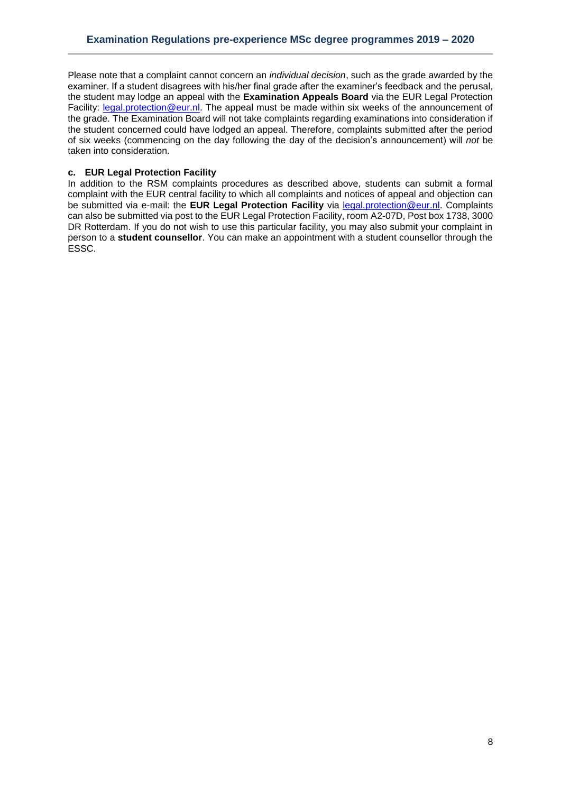Please note that a complaint cannot concern an *individual decision*, such as the grade awarded by the examiner. If a student disagrees with his/her final grade after the examiner's feedback and the perusal, the student may lodge an appeal with the **Examination Appeals Board** via the EUR Legal Protection Facility: [legal.protection@eur.nl.](mailto:legal.protection@eur.nl) The appeal must be made within six weeks of the announcement of the grade. The Examination Board will not take complaints regarding examinations into consideration if the student concerned could have lodged an appeal. Therefore, complaints submitted after the period of six weeks (commencing on the day following the day of the decision's announcement) will *not* be taken into consideration.

## **c. EUR Legal Protection Facility**

In addition to the RSM complaints procedures as described above, students can submit a formal complaint with the EUR central facility to which all complaints and notices of appeal and objection can be submitted via e-mail: the **EUR Legal Protection Facility** via [legal.protection@eur.nl.](mailto:legal.protection@eur.nl) Complaints can also be submitted via post to the EUR Legal Protection Facility, room A2-07D, Post box 1738, 3000 DR Rotterdam. If you do not wish to use this particular facility, you may also submit your complaint in person to a **student counsellor**. You can make an appointment with a student counsellor through the ESSC.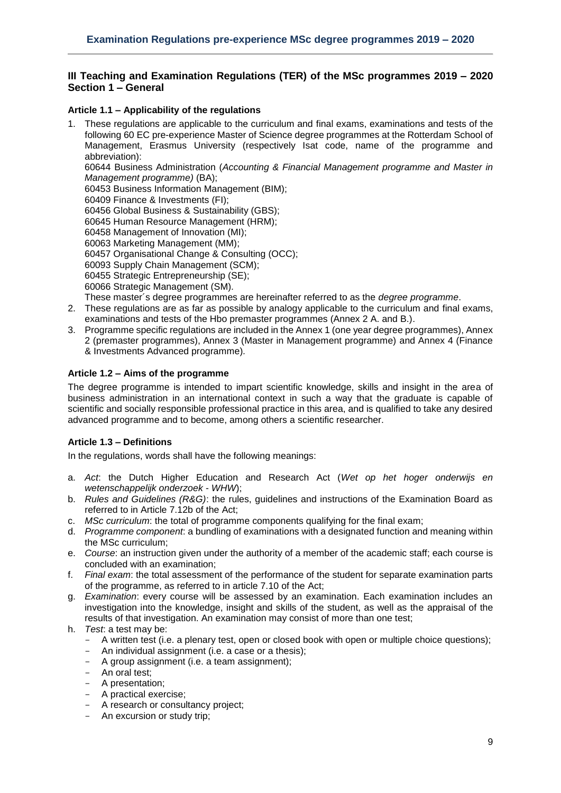# <span id="page-8-0"></span>**III Teaching and Examination Regulations (TER) of the MSc programmes 2019 – 2020 Section 1 – General**

## <span id="page-8-1"></span>**Article 1.1 – Applicability of the regulations**

- 1. These regulations are applicable to the curriculum and final exams, examinations and tests of the following 60 EC pre-experience Master of Science degree programmes at the Rotterdam School of Management, Erasmus University (respectively Isat code, name of the programme and abbreviation): 60644 Business Administration (*Accounting & Financial Management programme and Master in Management programme)* (BA); 60453 Business Information Management (BIM); 60409 Finance & Investments (FI); 60456 Global Business & Sustainability (GBS); 60645 Human Resource Management (HRM); 60458 Management of Innovation (MI); 60063 Marketing Management (MM); 60457 Organisational Change & Consulting (OCC); 60093 Supply Chain Management (SCM);
	- 60455 Strategic Entrepreneurship (SE);
	- 60066 Strategic Management (SM).
	- These master´s degree programmes are hereinafter referred to as the *degree programme*.
- 2. These regulations are as far as possible by analogy applicable to the curriculum and final exams, examinations and tests of the Hbo premaster programmes (Annex 2 A. and B.).
- 3. Programme specific regulations are included in the Annex 1 (one year degree programmes), Annex 2 (premaster programmes), Annex 3 (Master in Management programme) and Annex 4 (Finance & Investments Advanced programme)*.*

#### <span id="page-8-2"></span>**Article 1.2 – Aims of the programme**

The degree programme is intended to impart scientific knowledge, skills and insight in the area of business administration in an international context in such a way that the graduate is capable of scientific and socially responsible professional practice in this area, and is qualified to take any desired advanced programme and to become, among others a scientific researcher.

# <span id="page-8-3"></span>**Article 1.3 – Definitions**

In the regulations, words shall have the following meanings:

- a. *Act*: the Dutch Higher Education and Research Act (*Wet op het hoger onderwijs en wetenschappelijk onderzoek* - *WHW*);
- b. *Rules and Guidelines (R&G)*: the rules, guidelines and instructions of the Examination Board as referred to in Article 7.12b of the Act;
- c. *MSc curriculum*: the total of programme components qualifying for the final exam;
- d. *Programme component*: a bundling of examinations with a designated function and meaning within the MSc curriculum;
- e. *Course*: an instruction given under the authority of a member of the academic staff; each course is concluded with an examination;
- f. *Final exam*: the total assessment of the performance of the student for separate examination parts of the programme, as referred to in article 7.10 of the Act;
- g. *Examination*: every course will be assessed by an examination. Each examination includes an investigation into the knowledge, insight and skills of the student, as well as the appraisal of the results of that investigation. An examination may consist of more than one test;
- h. *Test*: a test may be:
	- A written test (i.e. a plenary test, open or closed book with open or multiple choice questions);
	- An individual assignment (i.e. a case or a thesis);
	- A group assignment (i.e. a team assignment);
	- An oral test;
	- A presentation:
	- A practical exercise;
	- A research or consultancy project;
	- An excursion or study trip;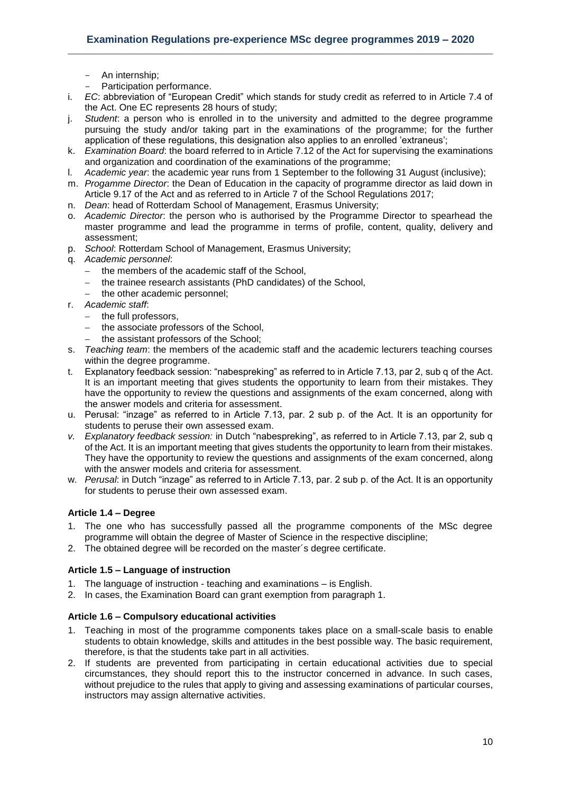- An internship;
- Participation performance.
- i. *EC*: abbreviation of "European Credit" which stands for study credit as referred to in Article 7.4 of the Act. One EC represents 28 hours of study;
- j. *Student*: a person who is enrolled in to the university and admitted to the degree programme pursuing the study and/or taking part in the examinations of the programme; for the further application of these regulations, this designation also applies to an enrolled 'extraneus';
- k. *Examination Board*: the board referred to in Article 7.12 of the Act for supervising the examinations and organization and coordination of the examinations of the programme;
- l. *Academic year*: the academic year runs from 1 September to the following 31 August (inclusive);
- m. *Progamme Director*: the Dean of Education in the capacity of programme director as laid down in Article 9.17 of the Act and as referred to in Article 7 of the School Regulations 2017;
- n. *Dean*: head of Rotterdam School of Management, Erasmus University;
- o. *Academic Director*: the person who is authorised by the Programme Director to spearhead the master programme and lead the programme in terms of profile, content, quality, delivery and assessment;
- p. *School*: Rotterdam School of Management, Erasmus University;
- q. *Academic personnel*:
	- the members of the academic staff of the School,
	- the trainee research assistants (PhD candidates) of the School,
	- the other academic personnel;
- r. *Academic staff*:
	- the full professors.
	- the associate professors of the School,
	- the assistant professors of the School;
- s. *Teaching team*: the members of the academic staff and the academic lecturers teaching courses within the degree programme.
- t. Explanatory feedback session: "nabespreking" as referred to in Article 7.13, par 2, sub q of the Act. It is an important meeting that gives students the opportunity to learn from their mistakes. They have the opportunity to review the questions and assignments of the exam concerned, along with the answer models and criteria for assessment.
- u. Perusal: "inzage" as referred to in Article 7.13, par. 2 sub p. of the Act. It is an opportunity for students to peruse their own assessed exam.
- *v. Explanatory feedback session:* in Dutch "nabespreking", as referred to in Article 7.13, par 2, sub q of the Act. It is an important meeting that gives students the opportunity to learn from their mistakes. They have the opportunity to review the questions and assignments of the exam concerned, along with the answer models and criteria for assessment.
- w. *Perusal*: in Dutch "inzage" as referred to in Article 7.13, par. 2 sub p. of the Act. It is an opportunity for students to peruse their own assessed exam.

# <span id="page-9-0"></span>**Article 1.4 – Degree**

- 1. The one who has successfully passed all the programme components of the MSc degree programme will obtain the degree of Master of Science in the respective discipline;
- <span id="page-9-1"></span>2. The obtained degree will be recorded on the master´s degree certificate.

# **Article 1.5 – Language of instruction**

- 1. The language of instruction teaching and examinations is English.
- <span id="page-9-2"></span>2. In cases, the Examination Board can grant exemption from paragraph 1.

# **Article 1.6 – Compulsory educational activities**

- 1. Teaching in most of the programme components takes place on a small-scale basis to enable students to obtain knowledge, skills and attitudes in the best possible way. The basic requirement, therefore, is that the students take part in all activities.
- 2. If students are prevented from participating in certain educational activities due to special circumstances, they should report this to the instructor concerned in advance. In such cases, without prejudice to the rules that apply to giving and assessing examinations of particular courses, instructors may assign alternative activities.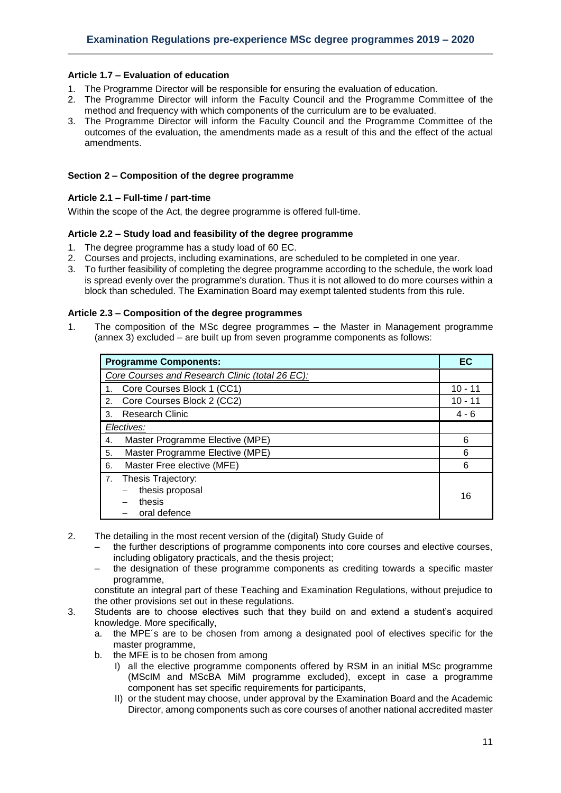## <span id="page-10-0"></span>**Article 1.7 – Evaluation of education**

- 1. The Programme Director will be responsible for ensuring the evaluation of education.
- 2. The Programme Director will inform the Faculty Council and the Programme Committee of the method and frequency with which components of the curriculum are to be evaluated.
- 3. The Programme Director will inform the Faculty Council and the Programme Committee of the outcomes of the evaluation, the amendments made as a result of this and the effect of the actual amendments.

#### <span id="page-10-1"></span>**Section 2 – Composition of the degree programme**

#### <span id="page-10-2"></span>**Article 2.1 – Full-time / part-time**

<span id="page-10-3"></span>Within the scope of the Act, the degree programme is offered full-time.

# **Article 2.2 – Study load and feasibility of the degree programme**

- 1. The degree programme has a study load of 60 EC.
- 2. Courses and projects, including examinations, are scheduled to be completed in one year.
- 3. To further feasibility of completing the degree programme according to the schedule, the work load is spread evenly over the programme's duration. Thus it is not allowed to do more courses within a block than scheduled. The Examination Board may exempt talented students from this rule.

#### <span id="page-10-4"></span>**Article 2.3 – Composition of the degree programmes**

1. The composition of the MSc degree programmes – the Master in Management programme (annex 3) excluded – are built up from seven programme components as follows:

| <b>Programme Components:</b>                          | EC        |
|-------------------------------------------------------|-----------|
| Core Courses and Research Clinic (total 26 EC):       |           |
| Core Courses Block 1 (CC1)                            | $10 - 11$ |
| Core Courses Block 2 (CC2)<br>2.                      | $10 - 11$ |
| <b>Research Clinic</b><br>3.                          | $4 - 6$   |
| Electives:                                            |           |
| Master Programme Elective (MPE)<br>4.                 | 6         |
| Master Programme Elective (MPE)<br>5.                 | 6         |
| Master Free elective (MFE)<br>6.                      | 6         |
| Thesis Trajectory:<br>7.<br>thesis proposal<br>thesis | 16        |
| oral defence                                          |           |

- 2. The detailing in the most recent version of the (digital) Study Guide of
	- the further descriptions of programme components into core courses and elective courses, including obligatory practicals, and the thesis project;
	- the designation of these programme components as crediting towards a specific master programme,

constitute an integral part of these Teaching and Examination Regulations, without prejudice to the other provisions set out in these regulations.

- 3. Students are to choose electives such that they build on and extend a student's acquired knowledge. More specifically,
	- a. the MPE´s are to be chosen from among a designated pool of electives specific for the master programme,
	- b. the MFE is to be chosen from among
		- I) all the elective programme components offered by RSM in an initial MSc programme (MScIM and MScBA MiM programme excluded), except in case a programme component has set specific requirements for participants,
		- II) or the student may choose, under approval by the Examination Board and the Academic Director, among components such as core courses of another national accredited master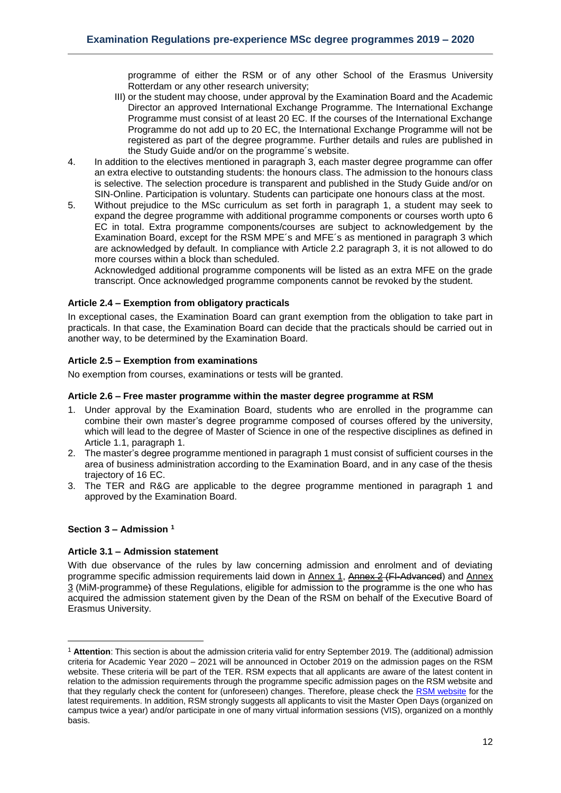programme of either the RSM or of any other School of the Erasmus University Rotterdam or any other research university;

- III) or the student may choose, under approval by the Examination Board and the Academic Director an approved International Exchange Programme. The International Exchange Programme must consist of at least 20 EC. If the courses of the International Exchange Programme do not add up to 20 EC, the International Exchange Programme will not be registered as part of the degree programme. Further details and rules are published in the Study Guide and/or on the programme´s website.
- 4. In addition to the electives mentioned in paragraph 3, each master degree programme can offer an extra elective to outstanding students: the honours class. The admission to the honours class is selective. The selection procedure is transparent and published in the Study Guide and/or on SIN-Online. Participation is voluntary. Students can participate one honours class at the most.
- 5. Without prejudice to the MSc curriculum as set forth in paragraph 1, a student may seek to expand the degree programme with additional programme components or courses worth upto 6 EC in total. Extra programme components/courses are subject to acknowledgement by the Examination Board, except for the RSM MPE´s and MFE´s as mentioned in paragraph 3 which are acknowledged by default. In compliance with Article 2.2 paragraph 3, it is not allowed to do more courses within a block than scheduled.

Acknowledged additional programme components will be listed as an extra MFE on the grade transcript. Once acknowledged programme components cannot be revoked by the student.

# <span id="page-11-0"></span>**Article 2.4 – Exemption from obligatory practicals**

In exceptional cases, the Examination Board can grant exemption from the obligation to take part in practicals. In that case, the Examination Board can decide that the practicals should be carried out in another way, to be determined by the Examination Board.

# <span id="page-11-1"></span>**Article 2.5 – Exemption from examinations**

<span id="page-11-2"></span>No exemption from courses, examinations or tests will be granted.

# **Article 2.6 – Free master programme within the master degree programme at RSM**

- 1. Under approval by the Examination Board, students who are enrolled in the programme can combine their own master's degree programme composed of courses offered by the university, which will lead to the degree of Master of Science in one of the respective disciplines as defined in Article 1.1, paragraph 1.
- 2. The master's degree programme mentioned in paragraph 1 must consist of sufficient courses in the area of business administration according to the Examination Board, and in any case of the thesis trajectory of 16 EC.
- 3. The TER and R&G are applicable to the degree programme mentioned in paragraph 1 and approved by the Examination Board.

# <span id="page-11-3"></span>**Section 3 – Admission <sup>1</sup>**

1

# <span id="page-11-4"></span>**Article 3.1 – Admission statement**

With due observance of the rules by law concerning admission and enrolment and of deviating programme specific admission requirements laid down in Annex 1, Annex 2 (FI-Advanced) and Annex 3 (MiM-programme) of these Regulations, eligible for admission to the programme is the one who has acquired the admission statement given by the Dean of the RSM on behalf of the Executive Board of Erasmus University.

<sup>1</sup> **Attention**: This section is about the admission criteria valid for entry September 2019. The (additional) admission criteria for Academic Year 2020 – 2021 will be announced in October 2019 on the admission pages on the RSM website. These criteria will be part of the TER. RSM expects that all applicants are aware of the latest content in relation to the admission requirements through the programme specific admission pages on the RSM website and that they regularly check the content for (unforeseen) changes. Therefore, please check the [RSM website](https://www.rsm.nl/master/msc-programmes/) for the latest requirements. In addition, RSM strongly suggests all applicants to visit the Master Open Days (organized on campus twice a year) and/or participate in one of many virtual information sessions (VIS), organized on a monthly basis.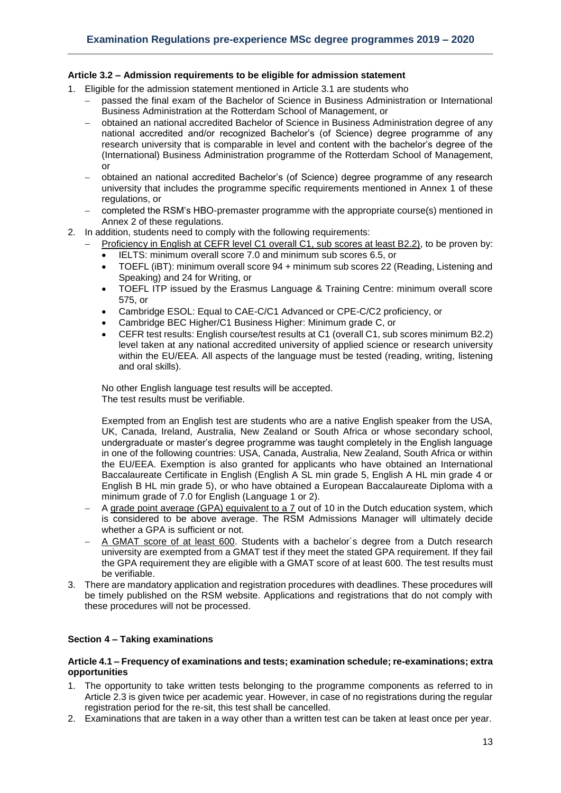# <span id="page-12-0"></span>**Article 3.2 – Admission requirements to be eligible for admission statement**

- 1. Eligible for the admission statement mentioned in Article 3.1 are students who
	- passed the final exam of the Bachelor of Science in Business Administration or International Business Administration at the Rotterdam School of Management, or
	- obtained an national accredited Bachelor of Science in Business Administration degree of any national accredited and/or recognized Bachelor's (of Science) degree programme of any research university that is comparable in level and content with the bachelor's degree of the (International) Business Administration programme of the Rotterdam School of Management, or
	- obtained an national accredited Bachelor's (of Science) degree programme of any research university that includes the programme specific requirements mentioned in Annex 1 of these regulations, or
	- completed the RSM's HBO-premaster programme with the appropriate course(s) mentioned in Annex 2 of these regulations.
- 2. In addition, students need to comply with the following requirements:
	- Proficiency in English at CEFR level C1 overall C1, sub scores at least B2.2), to be proven by:
	- IELTS: minimum overall score 7.0 and minimum sub scores 6.5, or
	- TOEFL (iBT): minimum overall score 94 + minimum sub scores 22 (Reading, Listening and Speaking) and 24 for Writing, or
	- TOEFL ITP issued by the Erasmus Language & Training Centre: minimum overall score 575, or
	- Cambridge ESOL: Equal to CAE-C/C1 Advanced or CPE-C/C2 proficiency, or
	- Cambridge BEC Higher/C1 Business Higher: Minimum grade C, or
	- CEFR test results: English course/test results at C1 (overall C1, sub scores minimum B2.2) level taken at any national accredited university of applied science or research university within the EU/EEA. All aspects of the language must be tested (reading, writing, listening and oral skills).

No other English language test results will be accepted. The test results must be verifiable.

Exempted from an English test are students who are a native English speaker from the USA, UK, Canada, Ireland, Australia, New Zealand or South Africa or whose secondary school, undergraduate or master's degree programme was taught completely in the English language in one of the following countries: USA, Canada, Australia, New Zealand, South Africa or within the EU/EEA. Exemption is also granted for applicants who have obtained an International Baccalaureate Certificate in English (English A SL min grade 5, English A HL min grade 4 or English B HL min grade 5), or who have obtained a European Baccalaureate Diploma with a minimum grade of 7.0 for English (Language 1 or 2).

- A grade point average (GPA) equivalent to a 7 out of 10 in the Dutch education system, which is considered to be above average. The RSM Admissions Manager will ultimately decide whether a GPA is sufficient or not.
- A GMAT score of at least 600. Students with a bachelor´s degree from a Dutch research university are exempted from a GMAT test if they meet the stated GPA requirement. If they fail the GPA requirement they are eligible with a GMAT score of at least 600. The test results must be verifiable.
- 3. There are mandatory application and registration procedures with deadlines. These procedures will be timely published on the RSM website. Applications and registrations that do not comply with these procedures will not be processed.

# <span id="page-12-1"></span>**Section 4 – Taking examinations**

#### <span id="page-12-2"></span>**Article 4.1 – Frequency of examinations and tests; examination schedule; re-examinations; extra opportunities**

- 1. The opportunity to take written tests belonging to the programme components as referred to in Article 2.3 is given twice per academic year. However, in case of no registrations during the regular registration period for the re-sit, this test shall be cancelled.
- 2. Examinations that are taken in a way other than a written test can be taken at least once per year.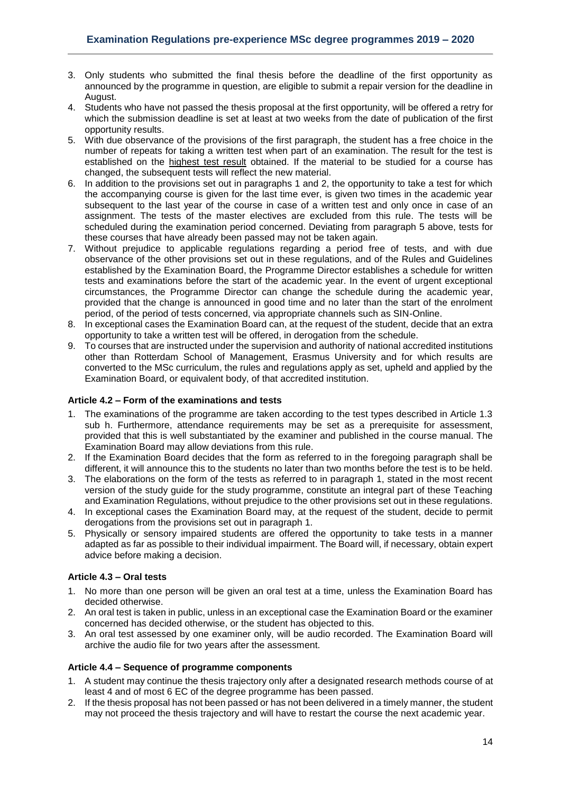- 3. Only students who submitted the final thesis before the deadline of the first opportunity as announced by the programme in question, are eligible to submit a repair version for the deadline in August.
- 4. Students who have not passed the thesis proposal at the first opportunity, will be offered a retry for which the submission deadline is set at least at two weeks from the date of publication of the first opportunity results.
- 5. With due observance of the provisions of the first paragraph, the student has a free choice in the number of repeats for taking a written test when part of an examination. The result for the test is established on the highest test result obtained. If the material to be studied for a course has changed, the subsequent tests will reflect the new material.
- 6. In addition to the provisions set out in paragraphs 1 and 2, the opportunity to take a test for which the accompanying course is given for the last time ever, is given two times in the academic year subsequent to the last year of the course in case of a written test and only once in case of an assignment. The tests of the master electives are excluded from this rule. The tests will be scheduled during the examination period concerned. Deviating from paragraph 5 above, tests for these courses that have already been passed may not be taken again.
- 7. Without prejudice to applicable regulations regarding a period free of tests, and with due observance of the other provisions set out in these regulations, and of the Rules and Guidelines established by the Examination Board, the Programme Director establishes a schedule for written tests and examinations before the start of the academic year. In the event of urgent exceptional circumstances, the Programme Director can change the schedule during the academic year, provided that the change is announced in good time and no later than the start of the enrolment period, of the period of tests concerned, via appropriate channels such as SIN-Online.
- 8. In exceptional cases the Examination Board can, at the request of the student, decide that an extra opportunity to take a written test will be offered, in derogation from the schedule.
- 9. To courses that are instructed under the supervision and authority of national accredited institutions other than Rotterdam School of Management, Erasmus University and for which results are converted to the MSc curriculum, the rules and regulations apply as set, upheld and applied by the Examination Board, or equivalent body, of that accredited institution.

## <span id="page-13-0"></span>**Article 4.2 – Form of the examinations and tests**

- 1. The examinations of the programme are taken according to the test types described in Article 1.3 sub h. Furthermore, attendance requirements may be set as a prerequisite for assessment, provided that this is well substantiated by the examiner and published in the course manual. The Examination Board may allow deviations from this rule.
- 2. If the Examination Board decides that the form as referred to in the foregoing paragraph shall be different, it will announce this to the students no later than two months before the test is to be held.
- 3. The elaborations on the form of the tests as referred to in paragraph 1, stated in the most recent version of the study guide for the study programme, constitute an integral part of these Teaching and Examination Regulations, without prejudice to the other provisions set out in these regulations.
- 4. In exceptional cases the Examination Board may, at the request of the student, decide to permit derogations from the provisions set out in paragraph 1.
- 5. Physically or sensory impaired students are offered the opportunity to take tests in a manner adapted as far as possible to their individual impairment. The Board will, if necessary, obtain expert advice before making a decision.

#### <span id="page-13-1"></span>**Article 4.3 – Oral tests**

- 1. No more than one person will be given an oral test at a time, unless the Examination Board has decided otherwise.
- 2. An oral test is taken in public, unless in an exceptional case the Examination Board or the examiner concerned has decided otherwise, or the student has objected to this.
- 3. An oral test assessed by one examiner only, will be audio recorded. The Examination Board will archive the audio file for two years after the assessment.

# <span id="page-13-2"></span>**Article 4.4 – Sequence of programme components**

- 1. A student may continue the thesis trajectory only after a designated research methods course of at least 4 and of most 6 EC of the degree programme has been passed.
- 2. If the thesis proposal has not been passed or has not been delivered in a timely manner, the student may not proceed the thesis trajectory and will have to restart the course the next academic year.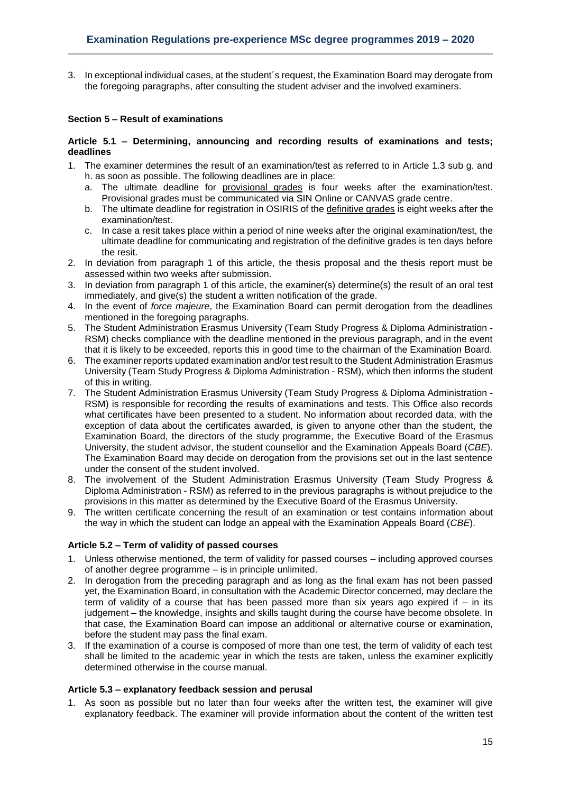3. In exceptional individual cases, at the student´s request, the Examination Board may derogate from the foregoing paragraphs, after consulting the student adviser and the involved examiners.

## <span id="page-14-0"></span>**Section 5 – Result of examinations**

#### <span id="page-14-1"></span>**Article 5.1 – Determining, announcing and recording results of examinations and tests; deadlines**

- 1. The examiner determines the result of an examination/test as referred to in Article 1.3 sub g. and h. as soon as possible. The following deadlines are in place:
	- a. The ultimate deadline for provisional grades is four weeks after the examination/test. Provisional grades must be communicated via SIN Online or CANVAS grade centre.
	- b. The ultimate deadline for registration in OSIRIS of the definitive grades is eight weeks after the examination/test.
	- c. In case a resit takes place within a period of nine weeks after the original examination/test, the ultimate deadline for communicating and registration of the definitive grades is ten days before the resit.
- 2. In deviation from paragraph 1 of this article, the thesis proposal and the thesis report must be assessed within two weeks after submission.
- 3. In deviation from paragraph 1 of this article, the examiner(s) determine(s) the result of an oral test immediately, and give(s) the student a written notification of the grade.
- 4. In the event of *force majeure*, the Examination Board can permit derogation from the deadlines mentioned in the foregoing paragraphs.
- 5. The Student Administration Erasmus University (Team Study Progress & Diploma Administration RSM) checks compliance with the deadline mentioned in the previous paragraph, and in the event that it is likely to be exceeded, reports this in good time to the chairman of the Examination Board.
- 6. The examiner reports updated examination and/or test result to the Student Administration Erasmus University (Team Study Progress & Diploma Administration - RSM), which then informs the student of this in writing.
- 7. The Student Administration Erasmus University (Team Study Progress & Diploma Administration RSM) is responsible for recording the results of examinations and tests. This Office also records what certificates have been presented to a student. No information about recorded data, with the exception of data about the certificates awarded, is given to anyone other than the student, the Examination Board, the directors of the study programme, the Executive Board of the Erasmus University, the student advisor, the student counsellor and the Examination Appeals Board (*CBE*). The Examination Board may decide on derogation from the provisions set out in the last sentence under the consent of the student involved.
- 8. The involvement of the Student Administration Erasmus University (Team Study Progress & Diploma Administration - RSM) as referred to in the previous paragraphs is without prejudice to the provisions in this matter as determined by the Executive Board of the Erasmus University.
- 9. The written certificate concerning the result of an examination or test contains information about the way in which the student can lodge an appeal with the Examination Appeals Board (*CBE*).

#### <span id="page-14-2"></span>**Article 5.2 – Term of validity of passed courses**

- 1. Unless otherwise mentioned, the term of validity for passed courses including approved courses of another degree programme – is in principle unlimited.
- 2. In derogation from the preceding paragraph and as long as the final exam has not been passed yet, the Examination Board, in consultation with the Academic Director concerned, may declare the term of validity of a course that has been passed more than six years ago expired if – in its judgement – the knowledge, insights and skills taught during the course have become obsolete. In that case, the Examination Board can impose an additional or alternative course or examination, before the student may pass the final exam.
- 3. If the examination of a course is composed of more than one test, the term of validity of each test shall be limited to the academic year in which the tests are taken, unless the examiner explicitly determined otherwise in the course manual.

#### <span id="page-14-3"></span>**Article 5.3 – explanatory feedback session and perusal**

1. As soon as possible but no later than four weeks after the written test, the examiner will give explanatory feedback. The examiner will provide information about the content of the written test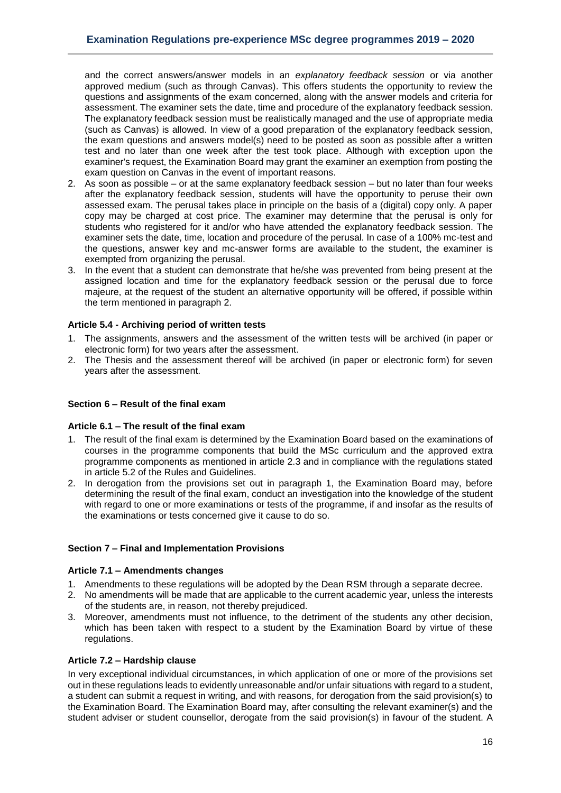and the correct answers/answer models in an *explanatory feedback session* or via another approved medium (such as through Canvas). This offers students the opportunity to review the questions and assignments of the exam concerned, along with the answer models and criteria for assessment. The examiner sets the date, time and procedure of the explanatory feedback session. The explanatory feedback session must be realistically managed and the use of appropriate media (such as Canvas) is allowed. In view of a good preparation of the explanatory feedback session, the exam questions and answers model(s) need to be posted as soon as possible after a written test and no later than one week after the test took place. Although with exception upon the examiner's request, the Examination Board may grant the examiner an exemption from posting the exam question on Canvas in the event of important reasons.

- 2. As soon as possible or at the same explanatory feedback session but no later than four weeks after the explanatory feedback session, students will have the opportunity to peruse their own assessed exam. The perusal takes place in principle on the basis of a (digital) copy only. A paper copy may be charged at cost price. The examiner may determine that the perusal is only for students who registered for it and/or who have attended the explanatory feedback session. The examiner sets the date, time, location and procedure of the perusal. In case of a 100% mc-test and the questions, answer key and mc-answer forms are available to the student, the examiner is exempted from organizing the perusal.
- 3. In the event that a student can demonstrate that he/she was prevented from being present at the assigned location and time for the explanatory feedback session or the perusal due to force majeure, at the request of the student an alternative opportunity will be offered, if possible within the term mentioned in paragraph 2.

# <span id="page-15-0"></span>**Article 5.4 - Archiving period of written tests**

- 1. The assignments, answers and the assessment of the written tests will be archived (in paper or electronic form) for two years after the assessment.
- 2. The Thesis and the assessment thereof will be archived (in paper or electronic form) for seven years after the assessment.

#### <span id="page-15-1"></span>**Section 6 – Result of the final exam**

#### <span id="page-15-2"></span>**Article 6.1 – The result of the final exam**

- 1. The result of the final exam is determined by the Examination Board based on the examinations of courses in the programme components that build the MSc curriculum and the approved extra programme components as mentioned in article 2.3 and in compliance with the regulations stated in article 5.2 of the Rules and Guidelines.
- 2. In derogation from the provisions set out in paragraph 1, the Examination Board may, before determining the result of the final exam, conduct an investigation into the knowledge of the student with regard to one or more examinations or tests of the programme, if and insofar as the results of the examinations or tests concerned give it cause to do so.

# <span id="page-15-3"></span>**Section 7 – Final and Implementation Provisions**

#### <span id="page-15-4"></span>**Article 7.1 – Amendments changes**

- 1. Amendments to these regulations will be adopted by the Dean RSM through a separate decree.
- 2. No amendments will be made that are applicable to the current academic year, unless the interests of the students are, in reason, not thereby prejudiced.
- 3. Moreover, amendments must not influence, to the detriment of the students any other decision, which has been taken with respect to a student by the Examination Board by virtue of these regulations.

#### <span id="page-15-5"></span>**Article 7.2 – Hardship clause**

In very exceptional individual circumstances, in which application of one or more of the provisions set out in these regulations leads to evidently unreasonable and/or unfair situations with regard to a student, a student can submit a request in writing, and with reasons, for derogation from the said provision(s) to the Examination Board. The Examination Board may, after consulting the relevant examiner(s) and the student adviser or student counsellor, derogate from the said provision(s) in favour of the student. A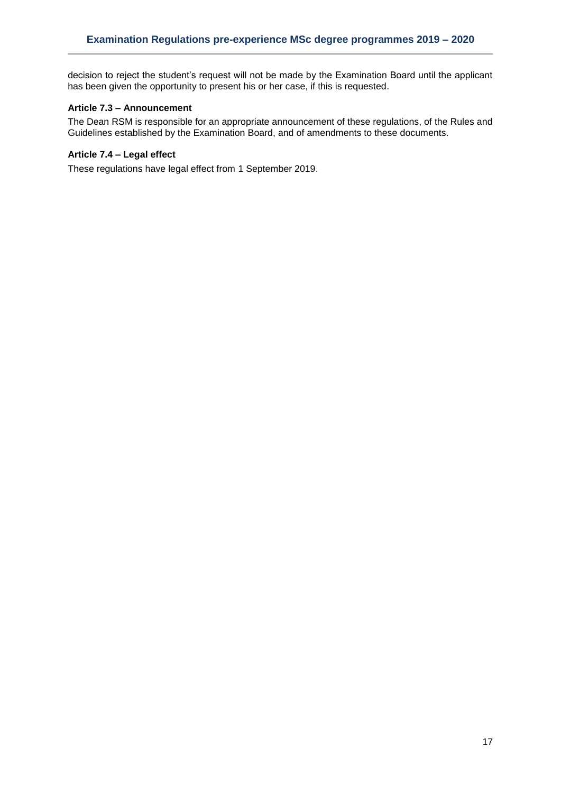decision to reject the student's request will not be made by the Examination Board until the applicant has been given the opportunity to present his or her case, if this is requested.

# <span id="page-16-0"></span>**Article 7.3 – Announcement**

The Dean RSM is responsible for an appropriate announcement of these regulations, of the Rules and Guidelines established by the Examination Board, and of amendments to these documents.

#### <span id="page-16-1"></span>**Article 7.4 – Legal effect**

These regulations have legal effect from 1 September 2019.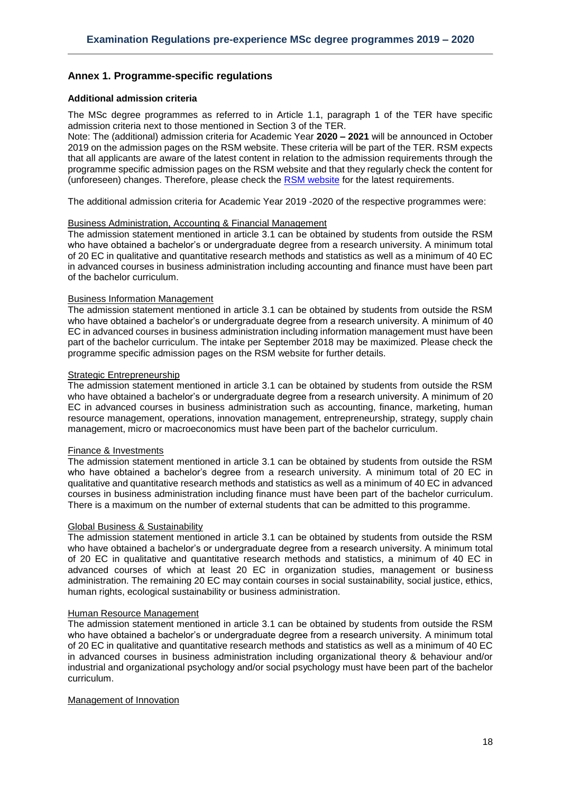# <span id="page-17-0"></span>**Annex 1. Programme-specific regulations**

#### <span id="page-17-1"></span>**Additional admission criteria**

The MSc degree programmes as referred to in Article 1.1, paragraph 1 of the TER have specific admission criteria next to those mentioned in Section 3 of the TER.

Note: The (additional) admission criteria for Academic Year **2020 – 2021** will be announced in October 2019 on the admission pages on the RSM website. These criteria will be part of the TER. RSM expects that all applicants are aware of the latest content in relation to the admission requirements through the programme specific admission pages on the RSM website and that they regularly check the content for (unforeseen) changes. Therefore, please check the [RSM website](https://www.rsm.nl/master/msc-programmes/) for the latest requirements.

The additional admission criteria for Academic Year 2019 -2020 of the respective programmes were:

#### Business Administration, Accounting & Financial Management

The admission statement mentioned in article 3.1 can be obtained by students from outside the RSM who have obtained a bachelor's or undergraduate degree from a research university. A minimum total of 20 EC in qualitative and quantitative research methods and statistics as well as a minimum of 40 EC in advanced courses in business administration including accounting and finance must have been part of the bachelor curriculum.

#### Business Information Management

The admission statement mentioned in article 3.1 can be obtained by students from outside the RSM who have obtained a bachelor's or undergraduate degree from a research university. A minimum of 40 EC in advanced courses in business administration including information management must have been part of the bachelor curriculum. The intake per September 2018 may be maximized. Please check the programme specific admission pages on the RSM website for further details.

#### Strategic Entrepreneurship

The admission statement mentioned in article 3.1 can be obtained by students from outside the RSM who have obtained a bachelor's or undergraduate degree from a research university. A minimum of 20 EC in advanced courses in business administration such as accounting, finance, marketing, human resource management, operations, innovation management, entrepreneurship, strategy, supply chain management, micro or macroeconomics must have been part of the bachelor curriculum.

#### Finance & Investments

The admission statement mentioned in article 3.1 can be obtained by students from outside the RSM who have obtained a bachelor's degree from a research university. A minimum total of 20 EC in qualitative and quantitative research methods and statistics as well as a minimum of 40 EC in advanced courses in business administration including finance must have been part of the bachelor curriculum. There is a maximum on the number of external students that can be admitted to this programme.

#### Global Business & Sustainability

The admission statement mentioned in article 3.1 can be obtained by students from outside the RSM who have obtained a bachelor's or undergraduate degree from a research university. A minimum total of 20 EC in qualitative and quantitative research methods and statistics, a minimum of 40 EC in advanced courses of which at least 20 EC in organization studies, management or business administration. The remaining 20 EC may contain courses in social sustainability, social justice, ethics, human rights, ecological sustainability or business administration.

#### Human Resource Management

The admission statement mentioned in article 3.1 can be obtained by students from outside the RSM who have obtained a bachelor's or undergraduate degree from a research university. A minimum total of 20 EC in qualitative and quantitative research methods and statistics as well as a minimum of 40 EC in advanced courses in business administration including organizational theory & behaviour and/or industrial and organizational psychology and/or social psychology must have been part of the bachelor curriculum.

#### Management of Innovation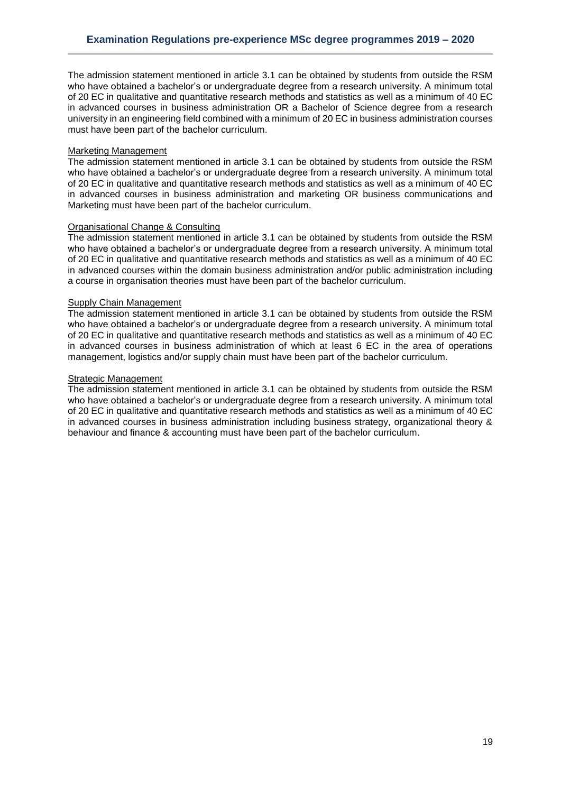The admission statement mentioned in article 3.1 can be obtained by students from outside the RSM who have obtained a bachelor's or undergraduate degree from a research university. A minimum total of 20 EC in qualitative and quantitative research methods and statistics as well as a minimum of 40 EC in advanced courses in business administration OR a Bachelor of Science degree from a research university in an engineering field combined with a minimum of 20 EC in business administration courses must have been part of the bachelor curriculum.

#### Marketing Management

The admission statement mentioned in article 3.1 can be obtained by students from outside the RSM who have obtained a bachelor's or undergraduate degree from a research university. A minimum total of 20 EC in qualitative and quantitative research methods and statistics as well as a minimum of 40 EC in advanced courses in business administration and marketing OR business communications and Marketing must have been part of the bachelor curriculum.

# Organisational Change & Consulting

The admission statement mentioned in article 3.1 can be obtained by students from outside the RSM who have obtained a bachelor's or undergraduate degree from a research university. A minimum total of 20 EC in qualitative and quantitative research methods and statistics as well as a minimum of 40 EC in advanced courses within the domain business administration and/or public administration including a course in organisation theories must have been part of the bachelor curriculum.

#### Supply Chain Management

The admission statement mentioned in article 3.1 can be obtained by students from outside the RSM who have obtained a bachelor's or undergraduate degree from a research university. A minimum total of 20 EC in qualitative and quantitative research methods and statistics as well as a minimum of 40 EC in advanced courses in business administration of which at least 6 EC in the area of operations management, logistics and/or supply chain must have been part of the bachelor curriculum.

## Strategic Management

The admission statement mentioned in article 3.1 can be obtained by students from outside the RSM who have obtained a bachelor's or undergraduate degree from a research university. A minimum total of 20 EC in qualitative and quantitative research methods and statistics as well as a minimum of 40 EC in advanced courses in business administration including business strategy, organizational theory & behaviour and finance & accounting must have been part of the bachelor curriculum.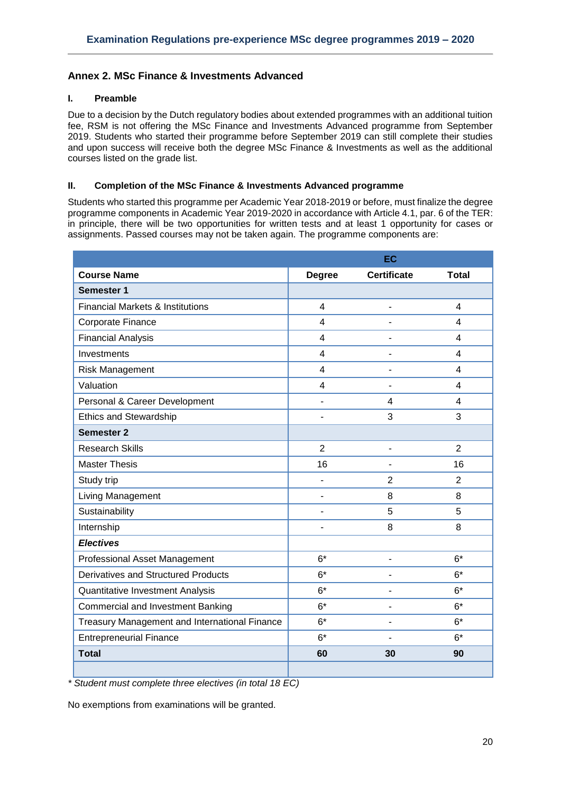# <span id="page-19-0"></span>**Annex 2. MSc Finance & Investments Advanced**

# **I. Preamble**

Due to a decision by the Dutch regulatory bodies about extended programmes with an additional tuition fee, RSM is not offering the MSc Finance and Investments Advanced programme from September 2019. Students who started their programme before September 2019 can still complete their studies and upon success will receive both the degree MSc Finance & Investments as well as the additional courses listed on the grade list.

## **II. Completion of the MSc Finance & Investments Advanced programme**

Students who started this programme per Academic Year 2018-2019 or before, must finalize the degree programme components in Academic Year 2019-2020 in accordance with Article 4.1, par. 6 of the TER: in principle, there will be two opportunities for written tests and at least 1 opportunity for cases or assignments. Passed courses may not be taken again. The programme components are:

|                                               | EC             |                              |                         |
|-----------------------------------------------|----------------|------------------------------|-------------------------|
| <b>Course Name</b>                            | <b>Degree</b>  | <b>Certificate</b>           | <b>Total</b>            |
| Semester 1                                    |                |                              |                         |
| <b>Financial Markets &amp; Institutions</b>   | $\overline{4}$ | $\overline{a}$               | $\overline{4}$          |
| Corporate Finance                             | $\overline{4}$ | $\overline{a}$               | $\overline{4}$          |
| <b>Financial Analysis</b>                     | $\overline{4}$ |                              | $\overline{\mathbf{4}}$ |
| Investments                                   | $\overline{4}$ | $\overline{a}$               | $\overline{\mathbf{4}}$ |
| <b>Risk Management</b>                        | $\overline{4}$ | $\qquad \qquad \blacksquare$ | $\overline{\mathbf{4}}$ |
| Valuation                                     | $\overline{4}$ | ÷,                           | 4                       |
| Personal & Career Development                 | L,             | 4                            | 4                       |
| <b>Ethics and Stewardship</b>                 |                | 3                            | 3                       |
| <b>Semester 2</b>                             |                |                              |                         |
| <b>Research Skills</b>                        | $\overline{2}$ | $\overline{\phantom{a}}$     | $\overline{2}$          |
| <b>Master Thesis</b>                          | 16             |                              | 16                      |
| Study trip                                    |                | $\overline{2}$               | $\overline{2}$          |
| Living Management                             |                | 8                            | 8                       |
| Sustainability                                | ä,             | 5                            | 5                       |
| Internship                                    | $\blacksquare$ | 8                            | 8                       |
| <b>Electives</b>                              |                |                              |                         |
| <b>Professional Asset Management</b>          | $6*$           | -                            | $6*$                    |
| <b>Derivatives and Structured Products</b>    | $6*$           |                              | $6*$                    |
| Quantitative Investment Analysis              | $6*$           | Ĭ.                           | $6*$                    |
| <b>Commercial and Investment Banking</b>      | $6*$           | $\qquad \qquad \blacksquare$ | $6*$                    |
| Treasury Management and International Finance | $6*$           | $\blacksquare$               | $6*$                    |
| <b>Entrepreneurial Finance</b>                | $6*$           |                              | $6*$                    |
| <b>Total</b>                                  | 60             | 30                           | 90                      |
|                                               |                |                              |                         |

*\* Student must complete three electives (in total 18 EC)*

No exemptions from examinations will be granted.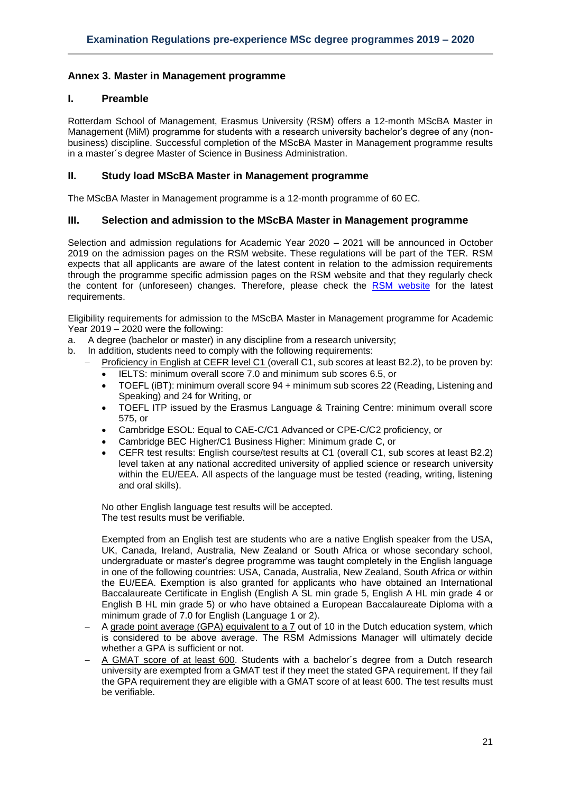# <span id="page-20-0"></span>**Annex 3. Master in Management programme**

# **I. Preamble**

Rotterdam School of Management, Erasmus University (RSM) offers a 12-month MScBA Master in Management (MiM) programme for students with a research university bachelor's degree of any (nonbusiness) discipline. Successful completion of the MScBA Master in Management programme results in a master´s degree Master of Science in Business Administration.

# **II. Study load MScBA Master in Management programme**

The MScBA Master in Management programme is a 12-month programme of 60 EC.

# **III. Selection and admission to the MScBA Master in Management programme**

Selection and admission regulations for Academic Year 2020 – 2021 will be announced in October 2019 on the admission pages on the RSM website. These regulations will be part of the TER. RSM expects that all applicants are aware of the latest content in relation to the admission requirements through the programme specific admission pages on the RSM website and that they regularly check the content for (unforeseen) changes. Therefore, please check the [RSM website](https://www.rsm.nl/master/msc-programmes/) for the latest requirements.

Eligibility requirements for admission to the MScBA Master in Management programme for Academic Year 2019 – 2020 were the following:

- a. A degree (bachelor or master) in any discipline from a research university;
- b. In addition, students need to comply with the following requirements:
	- Proficiency in English at CEFR level C1 (overall C1, sub scores at least B2.2), to be proven by:
	- IELTS: minimum overall score 7.0 and minimum sub scores 6.5, or
	- TOEFL (iBT): minimum overall score 94 + minimum sub scores 22 (Reading, Listening and Speaking) and 24 for Writing, or
	- TOEFL ITP issued by the Erasmus Language & Training Centre: minimum overall score 575, or
	- Cambridge ESOL: Equal to CAE-C/C1 Advanced or CPE-C/C2 proficiency, or
	- Cambridge BEC Higher/C1 Business Higher: Minimum grade C, or
	- CEFR test results: English course/test results at C1 (overall C1, sub scores at least B2.2) level taken at any national accredited university of applied science or research university within the EU/EEA. All aspects of the language must be tested (reading, writing, listening and oral skills).

No other English language test results will be accepted. The test results must be verifiable.

Exempted from an English test are students who are a native English speaker from the USA, UK, Canada, Ireland, Australia, New Zealand or South Africa or whose secondary school, undergraduate or master's degree programme was taught completely in the English language in one of the following countries: USA, Canada, Australia, New Zealand, South Africa or within the EU/EEA. Exemption is also granted for applicants who have obtained an International Baccalaureate Certificate in English (English A SL min grade 5, English A HL min grade 4 or English B HL min grade 5) or who have obtained a European Baccalaureate Diploma with a minimum grade of 7.0 for English (Language 1 or 2).

- A grade point average (GPA) equivalent to a 7 out of 10 in the Dutch education system, which is considered to be above average. The RSM Admissions Manager will ultimately decide whether a GPA is sufficient or not.
- A GMAT score of at least 600. Students with a bachelor's degree from a Dutch research university are exempted from a GMAT test if they meet the stated GPA requirement. If they fail the GPA requirement they are eligible with a GMAT score of at least 600. The test results must be verifiable.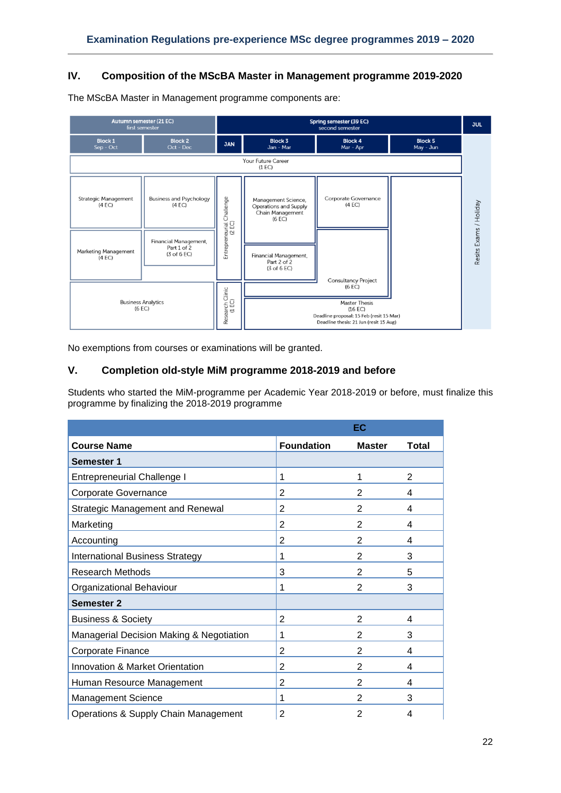# **IV. Composition of the MScBA Master in Management programme 2019-2020**



The MScBA Master in Management programme components are:

No exemptions from courses or examinations will be granted.

# **V. Completion old-style MiM programme 2018-2019 and before**

Students who started the MiM-programme per Academic Year 2018-2019 or before, must finalize this programme by finalizing the 2018-2019 programme

|                                          |                   | EC             |                |
|------------------------------------------|-------------------|----------------|----------------|
| <b>Course Name</b>                       | <b>Foundation</b> | <b>Master</b>  | <b>Total</b>   |
| <b>Semester 1</b>                        |                   |                |                |
| <b>Entrepreneurial Challenge I</b>       | 1                 | 1              | $\overline{2}$ |
| Corporate Governance                     | $\overline{2}$    | $\overline{2}$ | 4              |
| <b>Strategic Management and Renewal</b>  | $\overline{2}$    | $\overline{2}$ | 4              |
| Marketing                                | $\overline{2}$    | $\overline{2}$ | 4              |
| Accounting                               | $\overline{2}$    | $\overline{2}$ | 4              |
| <b>International Business Strategy</b>   | 1                 | $\overline{2}$ | 3              |
| <b>Research Methods</b>                  | 3                 | $\overline{2}$ | 5              |
| Organizational Behaviour                 | 1                 | $\overline{2}$ | 3              |
| <b>Semester 2</b>                        |                   |                |                |
| <b>Business &amp; Society</b>            | $\overline{2}$    | $\overline{2}$ | 4              |
| Managerial Decision Making & Negotiation | 1                 | 2              | 3              |
| Corporate Finance                        | 2                 | 2              | 4              |
| Innovation & Market Orientation          | $\overline{2}$    | $\overline{2}$ | 4              |
| Human Resource Management                | $\overline{2}$    | 2              | 4              |
| <b>Management Science</b>                | 1                 | 2              | 3              |
| Operations & Supply Chain Management     | $\overline{2}$    | $\overline{2}$ | 4              |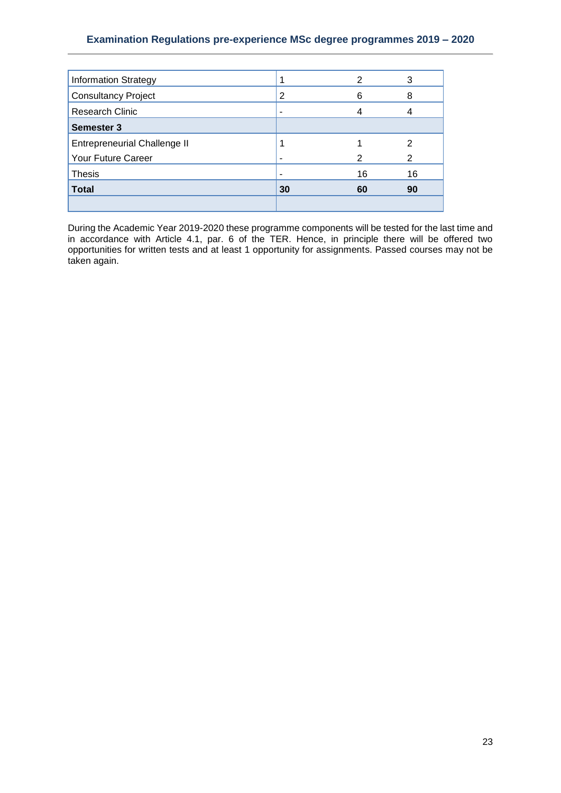# **Examination Regulations pre-experience MSc degree programmes 2019 – 2020**

| <b>Information Strategy</b>         |                | 2  | 3  |
|-------------------------------------|----------------|----|----|
| <b>Consultancy Project</b>          | $\overline{2}$ | 6  | 8  |
| Research Clinic                     | -              |    |    |
| <b>Semester 3</b>                   |                |    |    |
| <b>Entrepreneurial Challenge II</b> |                |    | 2  |
| Your Future Career                  |                |    | 2  |
| <b>Thesis</b>                       |                | 16 | 16 |
| <b>Total</b>                        | 30             | 60 | 90 |
|                                     |                |    |    |

During the Academic Year 2019-2020 these programme components will be tested for the last time and in accordance with Article 4.1, par. 6 of the TER. Hence, in principle there will be offered two opportunities for written tests and at least 1 opportunity for assignments. Passed courses may not be taken again.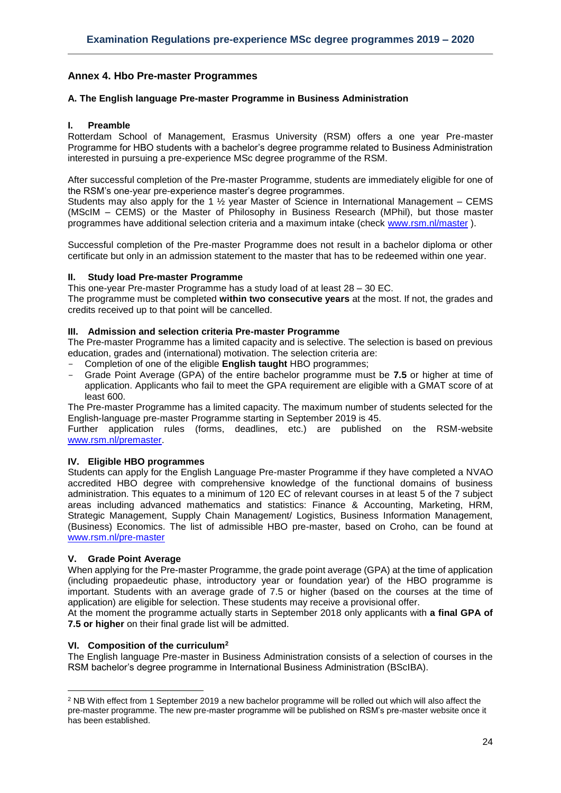# <span id="page-23-0"></span>**Annex 4. Hbo Pre-master Programmes**

#### <span id="page-23-1"></span>**A. The English language Pre-master Programme in Business Administration**

#### **I. Preamble**

Rotterdam School of Management, Erasmus University (RSM) offers a one year Pre-master Programme for HBO students with a bachelor's degree programme related to Business Administration interested in pursuing a pre-experience MSc degree programme of the RSM.

After successful completion of the Pre-master Programme, students are immediately eligible for one of the RSM's one-year pre-experience master's degree programmes.

Students may also apply for the 1  $\frac{1}{2}$  year Master of Science in International Management – CEMS (MScIM – CEMS) or the Master of Philosophy in Business Research (MPhil), but those master programmes have additional selection criteria and a maximum intake (check [www.rsm.nl/master](http://www.rsm.nl/master) ).

Successful completion of the Pre-master Programme does not result in a bachelor diploma or other certificate but only in an admission statement to the master that has to be redeemed within one year.

#### **II. Study load Pre-master Programme**

This one-year Pre-master Programme has a study load of at least 28 – 30 EC.

The programme must be completed **within two consecutive years** at the most. If not, the grades and credits received up to that point will be cancelled.

#### **III. Admission and selection criteria Pre-master Programme**

The Pre-master Programme has a limited capacity and is selective. The selection is based on previous education, grades and (international) motivation. The selection criteria are:

- Completion of one of the eligible **English taught** HBO programmes;
- Grade Point Average (GPA) of the entire bachelor programme must be **7.5** or higher at time of application. Applicants who fail to meet the GPA requirement are eligible with a GMAT score of at least 600.

The Pre-master Programme has a limited capacity. The maximum number of students selected for the English-language pre-master Programme starting in September 2019 is 45.

Further application rules (forms, deadlines, etc.) are published on the RSM-website [www.rsm.nl/premaster.](http://www.rsm.nl/premaster)

#### **IV. Eligible HBO programmes**

Students can apply for the English Language Pre-master Programme if they have completed a NVAO accredited HBO degree with comprehensive knowledge of the functional domains of business administration. This equates to a minimum of 120 EC of relevant courses in at least 5 of the 7 subject areas including advanced mathematics and statistics: Finance & Accounting, Marketing, HRM, Strategic Management, Supply Chain Management/ Logistics, Business Information Management, (Business) Economics. The list of admissible HBO pre-master, based on Croho, can be found at [www.rsm.nl/pre-master](http://www.rsm.nl/pre-master)

#### **V. Grade Point Average**

 $\overline{a}$ 

When applying for the Pre-master Programme, the grade point average (GPA) at the time of application (including propaedeutic phase, introductory year or foundation year) of the HBO programme is important. Students with an average grade of 7.5 or higher (based on the courses at the time of application) are eligible for selection. These students may receive a provisional offer.

At the moment the programme actually starts in September 2018 only applicants with **a final GPA of 7.5 or higher** on their final grade list will be admitted.

# **VI. Composition of the curriculum<sup>2</sup>**

The English language Pre-master in Business Administration consists of a selection of courses in the RSM bachelor's degree programme in International Business Administration (BScIBA).

<sup>&</sup>lt;sup>2</sup> NB With effect from 1 September 2019 a new bachelor programme will be rolled out which will also affect the pre-master programme. The new pre-master programme will be published on RSM's pre-master website once it has been established.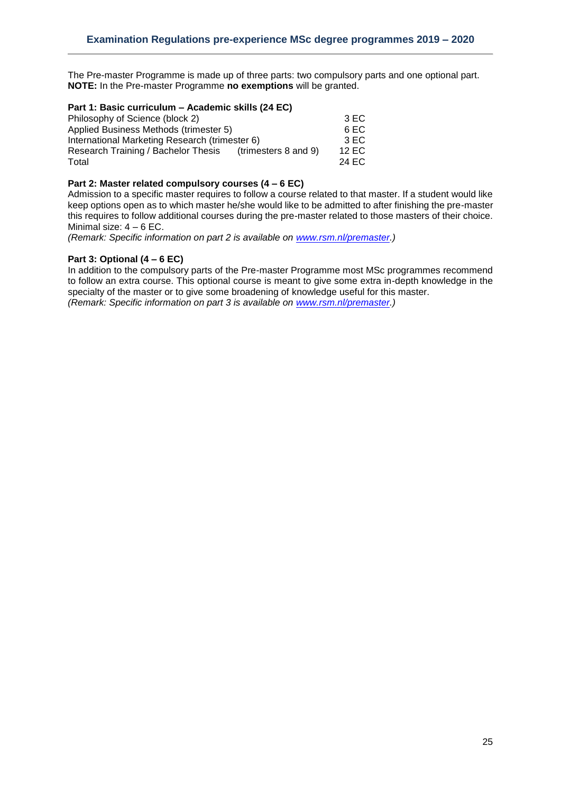The Pre-master Programme is made up of three parts: two compulsory parts and one optional part. **NOTE:** In the Pre-master Programme **no exemptions** will be granted.

#### **Part 1: Basic curriculum – Academic skills (24 EC)**

| 3 EC  |
|-------|
| 6 EC  |
| 3 EC  |
| 12 EC |
| 24 EC |
|       |

# **Part 2: Master related compulsory courses (4 – 6 EC)**

Admission to a specific master requires to follow a course related to that master. If a student would like keep options open as to which master he/she would like to be admitted to after finishing the pre-master this requires to follow additional courses during the pre-master related to those masters of their choice. Minimal size: 4 – 6 EC.

*(Remark: Specific information on part 2 is available on [www.rsm.nl/premaster.](http://www.rsm.nl/premaster))*

#### **Part 3: Optional (4 – 6 EC)**

In addition to the compulsory parts of the Pre-master Programme most MSc programmes recommend to follow an extra course. This optional course is meant to give some extra in-depth knowledge in the specialty of the master or to give some broadening of knowledge useful for this master. *(Remark: Specific information on part 3 is available on [www.rsm.nl/premaster.](http://www.rsm.nl/premaster))*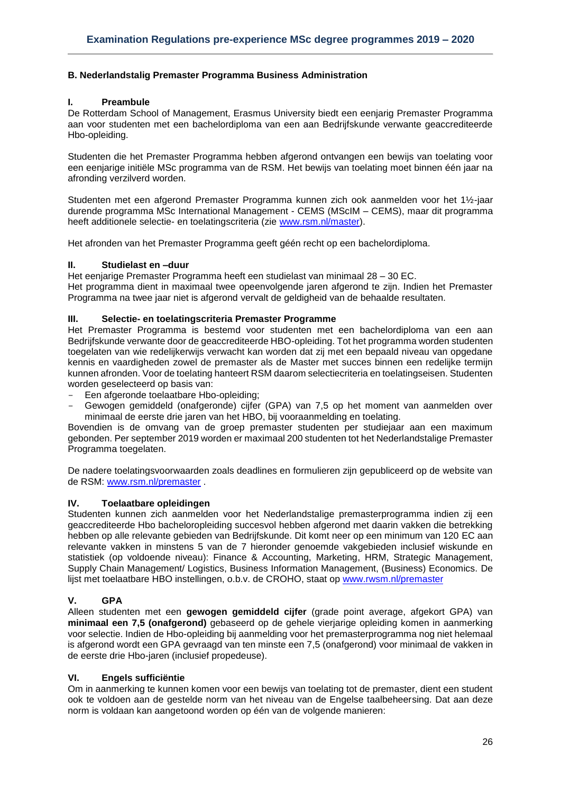# <span id="page-25-0"></span>**B. Nederlandstalig Premaster Programma Business Administration**

#### **I. Preambule**

De Rotterdam School of Management, Erasmus University biedt een eenjarig Premaster Programma aan voor studenten met een bachelordiploma van een aan Bedrijfskunde verwante geaccrediteerde Hbo-opleiding.

Studenten die het Premaster Programma hebben afgerond ontvangen een bewijs van toelating voor een eenjarige initiële MSc programma van de RSM. Het bewijs van toelating moet binnen één jaar na afronding verzilverd worden.

Studenten met een afgerond Premaster Programma kunnen zich ook aanmelden voor het 1½-jaar durende programma MSc International Management - CEMS (MScIM – CEMS), maar dit programma heeft additionele selectie- en toelatingscriteria (zie [www.rsm.nl/master\)](http://www.rsm.nl/master).

Het afronden van het Premaster Programma geeft géén recht op een bachelordiploma.

## **II. Studielast en –duur**

Het eenjarige Premaster Programma heeft een studielast van minimaal 28 – 30 EC.

Het programma dient in maximaal twee opeenvolgende jaren afgerond te zijn. Indien het Premaster Programma na twee jaar niet is afgerond vervalt de geldigheid van de behaalde resultaten.

#### **III. Selectie- en toelatingscriteria Premaster Programme**

Het Premaster Programma is bestemd voor studenten met een bachelordiploma van een aan Bedrijfskunde verwante door de geaccrediteerde HBO-opleiding. Tot het programma worden studenten toegelaten van wie redelijkerwijs verwacht kan worden dat zij met een bepaald niveau van opgedane kennis en vaardigheden zowel de premaster als de Master met succes binnen een redelijke termijn kunnen afronden. Voor de toelating hanteert RSM daarom selectiecriteria en toelatingseisen. Studenten worden geselecteerd op basis van:

- Een afgeronde toelaatbare Hbo-opleiding;
- Gewogen gemiddeld (onafgeronde) cijfer (GPA) van 7,5 op het moment van aanmelden over minimaal de eerste drie jaren van het HBO, bij vooraanmelding en toelating.

Bovendien is de omvang van de groep premaster studenten per studiejaar aan een maximum gebonden. Per september 2019 worden er maximaal 200 studenten tot het Nederlandstalige Premaster Programma toegelaten.

De nadere toelatingsvoorwaarden zoals deadlines en formulieren zijn gepubliceerd op de website van de RSM: [www.rsm.nl/premaster](http://www.rsm.nl/premaster) .

#### **IV. Toelaatbare opleidingen**

Studenten kunnen zich aanmelden voor het Nederlandstalige premasterprogramma indien zij een geaccrediteerde Hbo bacheloropleiding succesvol hebben afgerond met daarin vakken die betrekking hebben op alle relevante gebieden van Bedrijfskunde. Dit komt neer op een minimum van 120 EC aan relevante vakken in minstens 5 van de 7 hieronder genoemde vakgebieden inclusief wiskunde en statistiek (op voldoende niveau): Finance & Accounting, Marketing, HRM, Strategic Management, Supply Chain Management/ Logistics, Business Information Management, (Business) Economics. De lijst met toelaatbare HBO instellingen, o.b.v. de CROHO, staat op [www.rwsm.nl/premaster](http://www.rwsm.nl/premaster)

# **V. GPA**

Alleen studenten met een **gewogen gemiddeld cijfer** (grade point average, afgekort GPA) van **minimaal een 7,5 (onafgerond)** gebaseerd op de gehele vierjarige opleiding komen in aanmerking voor selectie. Indien de Hbo-opleiding bij aanmelding voor het premasterprogramma nog niet helemaal is afgerond wordt een GPA gevraagd van ten minste een 7,5 (onafgerond) voor minimaal de vakken in de eerste drie Hbo-jaren (inclusief propedeuse).

# **VI. Engels sufficiëntie**

Om in aanmerking te kunnen komen voor een bewijs van toelating tot de premaster, dient een student ook te voldoen aan de gestelde norm van het niveau van de Engelse taalbeheersing. Dat aan deze norm is voldaan kan aangetoond worden op één van de volgende manieren: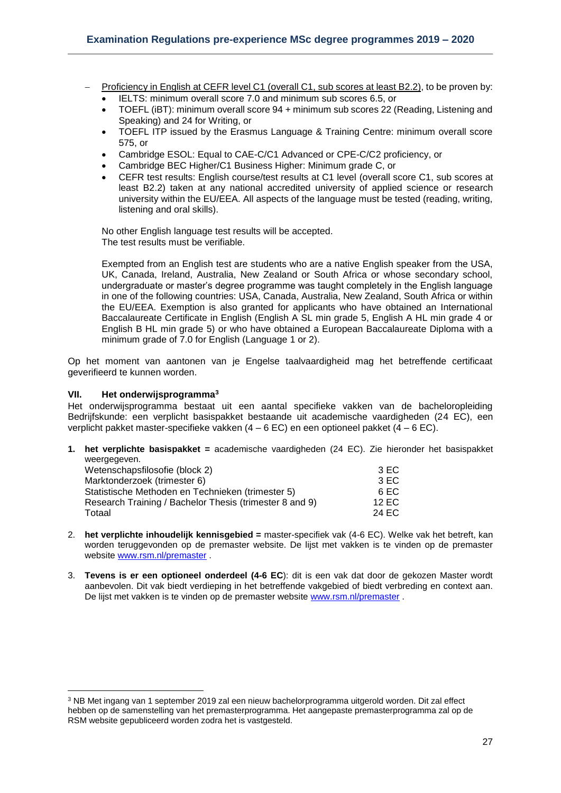- Proficiency in English at CEFR level C1 (overall C1, sub scores at least B2.2), to be proven by:
	- IELTS: minimum overall score 7.0 and minimum sub scores 6.5, or
	- TOEFL (iBT): minimum overall score 94 + minimum sub scores 22 (Reading, Listening and Speaking) and 24 for Writing, or
	- TOEFL ITP issued by the Erasmus Language & Training Centre: minimum overall score 575, or
	- Cambridge ESOL: Equal to CAE-C/C1 Advanced or CPE-C/C2 proficiency, or
	- Cambridge BEC Higher/C1 Business Higher: Minimum grade C, or
	- CEFR test results: English course/test results at C1 level (overall score C1, sub scores at least B2.2) taken at any national accredited university of applied science or research university within the EU/EEA. All aspects of the language must be tested (reading, writing, listening and oral skills).

No other English language test results will be accepted. The test results must be verifiable.

Exempted from an English test are students who are a native English speaker from the USA, UK, Canada, Ireland, Australia, New Zealand or South Africa or whose secondary school, undergraduate or master's degree programme was taught completely in the English language in one of the following countries: USA, Canada, Australia, New Zealand, South Africa or within the EU/EEA. Exemption is also granted for applicants who have obtained an International Baccalaureate Certificate in English (English A SL min grade 5, English A HL min grade 4 or English B HL min grade 5) or who have obtained a European Baccalaureate Diploma with a minimum grade of 7.0 for English (Language 1 or 2).

Op het moment van aantonen van je Engelse taalvaardigheid mag het betreffende certificaat geverifieerd te kunnen worden.

#### **VII. Het onderwijsprogramma<sup>3</sup>**

 $\overline{a}$ 

Het onderwijsprogramma bestaat uit een aantal specifieke vakken van de bacheloropleiding Bedrijfskunde: een verplicht basispakket bestaande uit academische vaardigheden (24 EC), een verplicht pakket master-specifieke vakken  $(4 - 6$  EC) en een optioneel pakket  $(4 - 6$  EC).

**1. het verplichte basispakket =** academische vaardigheden (24 EC). Zie hieronder het basispakket weergegeven.

| Wetenschapsfilosofie (block 2)                          | 3EC   |
|---------------------------------------------------------|-------|
| Marktonderzoek (trimester 6)                            | 3 EC  |
| Statistische Methoden en Technieken (trimester 5)       | 6 EC  |
| Research Training / Bachelor Thesis (trimester 8 and 9) | 12 EC |
| Totaal                                                  | 24 EC |

- 2. **het verplichte inhoudelijk kennisgebied =** master-specifiek vak (4-6 EC). Welke vak het betreft, kan worden teruggevonden op de premaster website. De lijst met vakken is te vinden op de premaster website [www.rsm.nl/premaster](http://www.rsm.nl/premaster) .
- 3. **Tevens is er een optioneel onderdeel (4-6 EC**): dit is een vak dat door de gekozen Master wordt aanbevolen. Dit vak biedt verdieping in het betreffende vakgebied of biedt verbreding en context aan. De lijst met vakken is te vinden op de premaster website [www.rsm.nl/premaster](http://www.rsm.nl/premaster) .

<sup>3</sup> NB Met ingang van 1 september 2019 zal een nieuw bachelorprogramma uitgerold worden. Dit zal effect hebben op de samenstelling van het premasterprogramma. Het aangepaste premasterprogramma zal op de RSM website gepubliceerd worden zodra het is vastgesteld.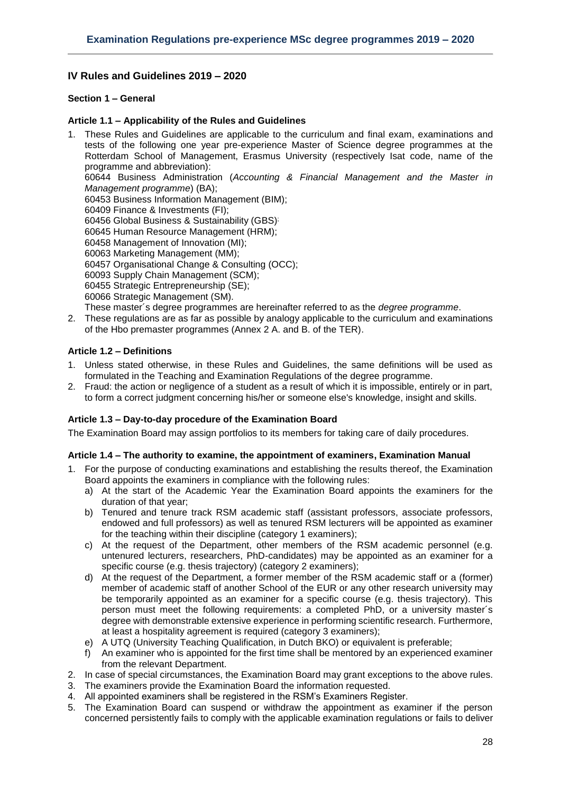# <span id="page-27-0"></span>**IV Rules and Guidelines 2019 – 2020**

## <span id="page-27-1"></span>**Section 1 – General**

## <span id="page-27-2"></span>**Article 1.1 – Applicability of the Rules and Guidelines**

- 1. These Rules and Guidelines are applicable to the curriculum and final exam, examinations and tests of the following one year pre-experience Master of Science degree programmes at the Rotterdam School of Management, Erasmus University (respectively Isat code, name of the programme and abbreviation): 60644 Business Administration (*Accounting & Financial Management and the Master in Management programme*) (BA); 60453 Business Information Management (BIM); 60409 Finance & Investments (FI); 60456 Global Business & Sustainability (GBS)<sup>;</sup> 60645 Human Resource Management (HRM); 60458 Management of Innovation (MI); 60063 Marketing Management (MM); 60457 Organisational Change & Consulting (OCC); 60093 Supply Chain Management (SCM); 60455 Strategic Entrepreneurship (SE); 60066 Strategic Management (SM). These master´s degree programmes are hereinafter referred to as the *degree programme*.
- 2. These regulations are as far as possible by analogy applicable to the curriculum and examinations of the Hbo premaster programmes (Annex 2 A. and B. of the TER).

#### <span id="page-27-3"></span>**Article 1.2 – Definitions**

- 1. Unless stated otherwise, in these Rules and Guidelines, the same definitions will be used as formulated in the Teaching and Examination Regulations of the degree programme.
- 2. Fraud: the action or negligence of a student as a result of which it is impossible, entirely or in part, to form a correct judgment concerning his/her or someone else's knowledge, insight and skills.

#### <span id="page-27-4"></span>**Article 1.3 – Day-to-day procedure of the Examination Board**

<span id="page-27-5"></span>The Examination Board may assign portfolios to its members for taking care of daily procedures.

#### **Article 1.4 – The authority to examine, the appointment of examiners, Examination Manual**

- 1. For the purpose of conducting examinations and establishing the results thereof, the Examination Board appoints the examiners in compliance with the following rules:
	- a) At the start of the Academic Year the Examination Board appoints the examiners for the duration of that year;
	- b) Tenured and tenure track RSM academic staff (assistant professors, associate professors, endowed and full professors) as well as tenured RSM lecturers will be appointed as examiner for the teaching within their discipline (category 1 examiners);
	- c) At the request of the Department, other members of the RSM academic personnel (e.g. untenured lecturers, researchers, PhD-candidates) may be appointed as an examiner for a specific course (e.g. thesis trajectory) (category 2 examiners);
	- d) At the request of the Department, a former member of the RSM academic staff or a (former) member of academic staff of another School of the EUR or any other research university may be temporarily appointed as an examiner for a specific course (e.g. thesis trajectory). This person must meet the following requirements: a completed PhD, or a university master´s degree with demonstrable extensive experience in performing scientific research. Furthermore, at least a hospitality agreement is required (category 3 examiners);
	- e) A UTQ (University Teaching Qualification, in Dutch BKO) or equivalent is preferable;
	- f) An examiner who is appointed for the first time shall be mentored by an experienced examiner from the relevant Department.
- 2. In case of special circumstances, the Examination Board may grant exceptions to the above rules.
- 3. The examiners provide the Examination Board the information requested.
- 4. All appointed examiners shall be registered in the RSM's Examiners Register.
- 5. The Examination Board can suspend or withdraw the appointment as examiner if the person concerned persistently fails to comply with the applicable examination regulations or fails to deliver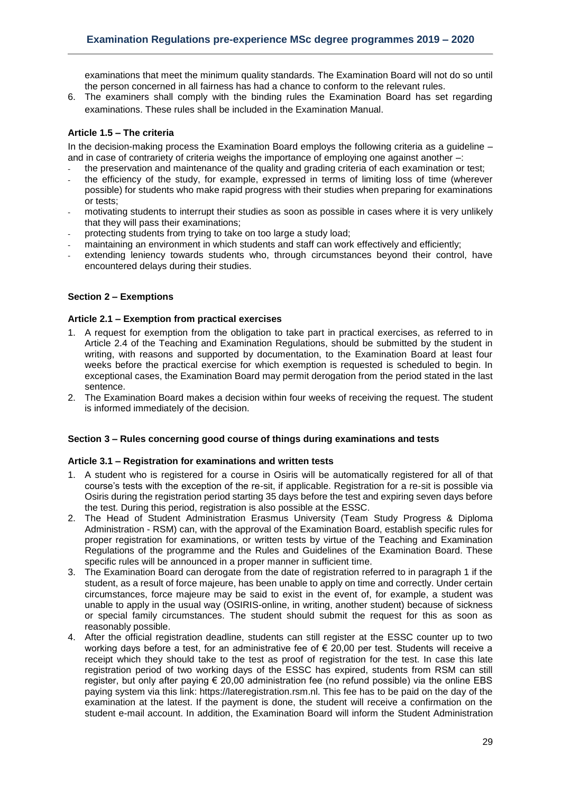examinations that meet the minimum quality standards. The Examination Board will not do so until the person concerned in all fairness has had a chance to conform to the relevant rules.

6. The examiners shall comply with the binding rules the Examination Board has set regarding examinations. These rules shall be included in the Examination Manual.

## <span id="page-28-0"></span>**Article 1.5 – The criteria**

In the decision-making process the Examination Board employs the following criteria as a guideline – and in case of contrariety of criteria weighs the importance of employing one against another –:

- the preservation and maintenance of the quality and grading criteria of each examination or test;
- the efficiency of the study, for example, expressed in terms of limiting loss of time (wherever possible) for students who make rapid progress with their studies when preparing for examinations or tests;
- motivating students to interrupt their studies as soon as possible in cases where it is very unlikely that they will pass their examinations;
- protecting students from trying to take on too large a study load;
- maintaining an environment in which students and staff can work effectively and efficiently;
- extending leniency towards students who, through circumstances beyond their control, have encountered delays during their studies.

#### <span id="page-28-1"></span>**Section 2 – Exemptions**

#### <span id="page-28-2"></span>**Article 2.1 – Exemption from practical exercises**

- 1. A request for exemption from the obligation to take part in practical exercises, as referred to in Article 2.4 of the Teaching and Examination Regulations, should be submitted by the student in writing, with reasons and supported by documentation, to the Examination Board at least four weeks before the practical exercise for which exemption is requested is scheduled to begin. In exceptional cases, the Examination Board may permit derogation from the period stated in the last sentence.
- 2. The Examination Board makes a decision within four weeks of receiving the request. The student is informed immediately of the decision.

#### <span id="page-28-3"></span>**Section 3 – Rules concerning good course of things during examinations and tests**

#### <span id="page-28-4"></span>**Article 3.1 – Registration for examinations and written tests**

- 1. A student who is registered for a course in Osiris will be automatically registered for all of that course's tests with the exception of the re-sit, if applicable. Registration for a re-sit is possible via Osiris during the registration period starting 35 days before the test and expiring seven days before the test. During this period, registration is also possible at the ESSC.
- 2. The Head of Student Administration Erasmus University (Team Study Progress & Diploma Administration - RSM) can, with the approval of the Examination Board, establish specific rules for proper registration for examinations, or written tests by virtue of the Teaching and Examination Regulations of the programme and the Rules and Guidelines of the Examination Board. These specific rules will be announced in a proper manner in sufficient time.
- 3. The Examination Board can derogate from the date of registration referred to in paragraph 1 if the student, as a result of force majeure, has been unable to apply on time and correctly. Under certain circumstances, force majeure may be said to exist in the event of, for example, a student was unable to apply in the usual way (OSIRIS-online, in writing, another student) because of sickness or special family circumstances. The student should submit the request for this as soon as reasonably possible.
- 4. After the official registration deadline, students can still register at the ESSC counter up to two working days before a test, for an administrative fee of  $\epsilon$  20.00 per test. Students will receive a receipt which they should take to the test as proof of registration for the test. In case this late registration period of two working days of the ESSC has expired, students from RSM can still register, but only after paying € 20,00 administration fee (no refund possible) via the online EBS paying system via this link: https://lateregistration.rsm.nl. This fee has to be paid on the day of the examination at the latest. If the payment is done, the student will receive a confirmation on the student e-mail account. In addition, the Examination Board will inform the Student Administration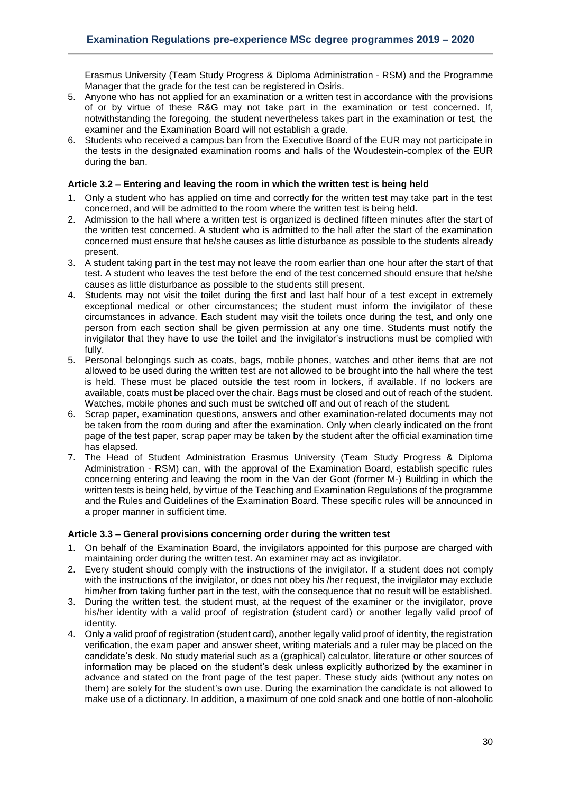Erasmus University (Team Study Progress & Diploma Administration - RSM) and the Programme Manager that the grade for the test can be registered in Osiris.

- 5. Anyone who has not applied for an examination or a written test in accordance with the provisions of or by virtue of these R&G may not take part in the examination or test concerned. If, notwithstanding the foregoing, the student nevertheless takes part in the examination or test, the examiner and the Examination Board will not establish a grade.
- 6. Students who received a campus ban from the Executive Board of the EUR may not participate in the tests in the designated examination rooms and halls of the Woudestein-complex of the EUR during the ban.

#### <span id="page-29-0"></span>**Article 3.2 – Entering and leaving the room in which the written test is being held**

- 1. Only a student who has applied on time and correctly for the written test may take part in the test concerned, and will be admitted to the room where the written test is being held.
- 2. Admission to the hall where a written test is organized is declined fifteen minutes after the start of the written test concerned. A student who is admitted to the hall after the start of the examination concerned must ensure that he/she causes as little disturbance as possible to the students already present.
- 3. A student taking part in the test may not leave the room earlier than one hour after the start of that test. A student who leaves the test before the end of the test concerned should ensure that he/she causes as little disturbance as possible to the students still present.
- 4. Students may not visit the toilet during the first and last half hour of a test except in extremely exceptional medical or other circumstances; the student must inform the invigilator of these circumstances in advance. Each student may visit the toilets once during the test, and only one person from each section shall be given permission at any one time. Students must notify the invigilator that they have to use the toilet and the invigilator's instructions must be complied with fully.
- 5. Personal belongings such as coats, bags, mobile phones, watches and other items that are not allowed to be used during the written test are not allowed to be brought into the hall where the test is held. These must be placed outside the test room in lockers, if available. If no lockers are available, coats must be placed over the chair. Bags must be closed and out of reach of the student. Watches, mobile phones and such must be switched off and out of reach of the student.
- 6. Scrap paper, examination questions, answers and other examination-related documents may not be taken from the room during and after the examination. Only when clearly indicated on the front page of the test paper, scrap paper may be taken by the student after the official examination time has elapsed.
- 7. The Head of Student Administration Erasmus University (Team Study Progress & Diploma Administration - RSM) can, with the approval of the Examination Board, establish specific rules concerning entering and leaving the room in the Van der Goot (former M-) Building in which the written tests is being held, by virtue of the Teaching and Examination Regulations of the programme and the Rules and Guidelines of the Examination Board. These specific rules will be announced in a proper manner in sufficient time.

# <span id="page-29-1"></span>**Article 3.3 – General provisions concerning order during the written test**

- 1. On behalf of the Examination Board, the invigilators appointed for this purpose are charged with maintaining order during the written test. An examiner may act as invigilator.
- 2. Every student should comply with the instructions of the invigilator. If a student does not comply with the instructions of the invigilator, or does not obey his /her request, the invigilator may exclude him/her from taking further part in the test, with the consequence that no result will be established.
- 3. During the written test, the student must, at the request of the examiner or the invigilator, prove his/her identity with a valid proof of registration (student card) or another legally valid proof of identity.
- 4. Only a valid proof of registration (student card), another legally valid proof of identity, the registration verification, the exam paper and answer sheet, writing materials and a ruler may be placed on the candidate's desk. No study material such as a (graphical) calculator, literature or other sources of information may be placed on the student's desk unless explicitly authorized by the examiner in advance and stated on the front page of the test paper. These study aids (without any notes on them) are solely for the student's own use. During the examination the candidate is not allowed to make use of a dictionary. In addition, a maximum of one cold snack and one bottle of non-alcoholic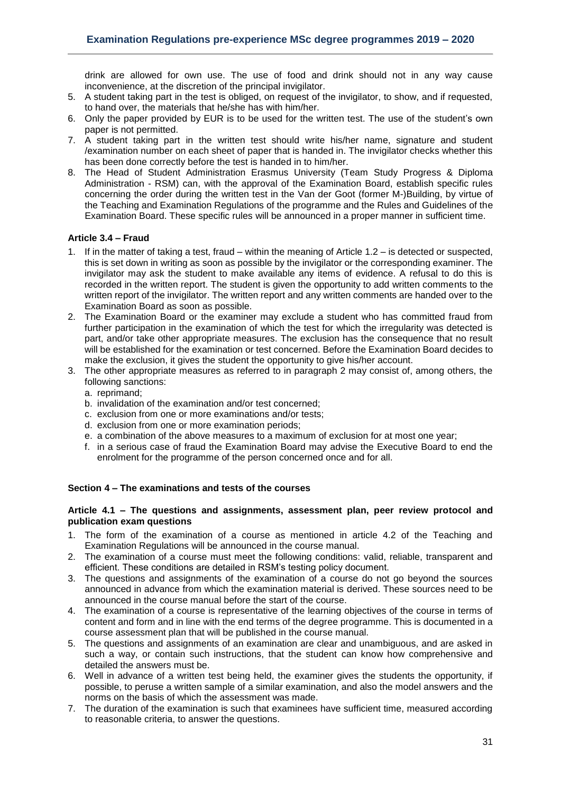drink are allowed for own use. The use of food and drink should not in any way cause inconvenience, at the discretion of the principal invigilator.

- 5. A student taking part in the test is obliged, on request of the invigilator, to show, and if requested, to hand over, the materials that he/she has with him/her.
- 6. Only the paper provided by EUR is to be used for the written test. The use of the student's own paper is not permitted.
- 7. A student taking part in the written test should write his/her name, signature and student /examination number on each sheet of paper that is handed in. The invigilator checks whether this has been done correctly before the test is handed in to him/her.
- 8. The Head of Student Administration Erasmus University (Team Study Progress & Diploma Administration - RSM) can, with the approval of the Examination Board, establish specific rules concerning the order during the written test in the Van der Goot (former M-)Building, by virtue of the Teaching and Examination Regulations of the programme and the Rules and Guidelines of the Examination Board. These specific rules will be announced in a proper manner in sufficient time.

#### <span id="page-30-0"></span>**Article 3.4 – Fraud**

- 1. If in the matter of taking a test, fraud within the meaning of Article 1.2 is detected or suspected, this is set down in writing as soon as possible by the invigilator or the corresponding examiner. The invigilator may ask the student to make available any items of evidence. A refusal to do this is recorded in the written report. The student is given the opportunity to add written comments to the written report of the invigilator. The written report and any written comments are handed over to the Examination Board as soon as possible.
- 2. The Examination Board or the examiner may exclude a student who has committed fraud from further participation in the examination of which the test for which the irregularity was detected is part, and/or take other appropriate measures. The exclusion has the consequence that no result will be established for the examination or test concerned. Before the Examination Board decides to make the exclusion, it gives the student the opportunity to give his/her account.
- 3. The other appropriate measures as referred to in paragraph 2 may consist of, among others, the following sanctions:
	- a. reprimand;
	- b. invalidation of the examination and/or test concerned;
	- c. exclusion from one or more examinations and/or tests;
	- d. exclusion from one or more examination periods;
	- e. a combination of the above measures to a maximum of exclusion for at most one year;
	- f. in a serious case of fraud the Examination Board may advise the Executive Board to end the enrolment for the programme of the person concerned once and for all.

## <span id="page-30-1"></span>**Section 4 – The examinations and tests of the courses**

#### <span id="page-30-2"></span>**Article 4.1 – The questions and assignments, assessment plan, peer review protocol and publication exam questions**

- 1. The form of the examination of a course as mentioned in article 4.2 of the Teaching and Examination Regulations will be announced in the course manual.
- 2. The examination of a course must meet the following conditions: valid, reliable, transparent and efficient. These conditions are detailed in RSM's testing policy document.
- 3. The questions and assignments of the examination of a course do not go beyond the sources announced in advance from which the examination material is derived. These sources need to be announced in the course manual before the start of the course.
- 4. The examination of a course is representative of the learning objectives of the course in terms of content and form and in line with the end terms of the degree programme. This is documented in a course assessment plan that will be published in the course manual.
- 5. The questions and assignments of an examination are clear and unambiguous, and are asked in such a way, or contain such instructions, that the student can know how comprehensive and detailed the answers must be.
- 6. Well in advance of a written test being held, the examiner gives the students the opportunity, if possible, to peruse a written sample of a similar examination, and also the model answers and the norms on the basis of which the assessment was made.
- 7. The duration of the examination is such that examinees have sufficient time, measured according to reasonable criteria, to answer the questions.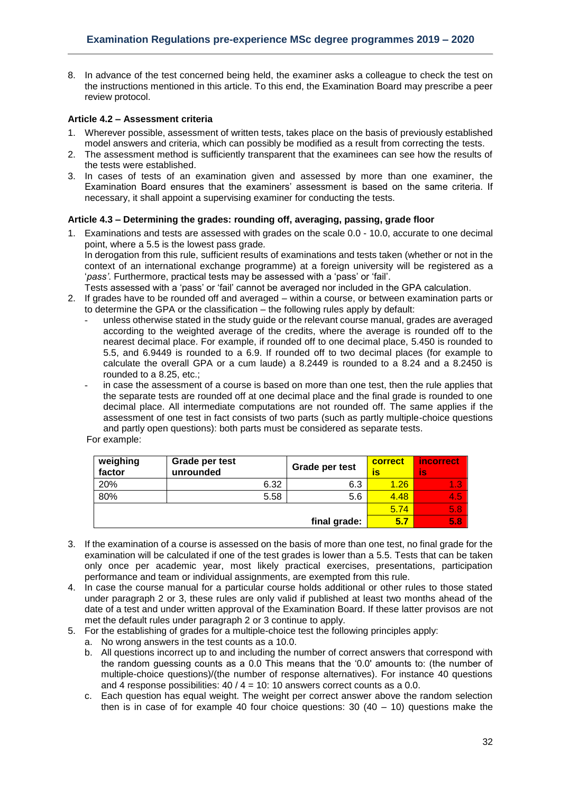8. In advance of the test concerned being held, the examiner asks a colleague to check the test on the instructions mentioned in this article. To this end, the Examination Board may prescribe a peer review protocol.

## <span id="page-31-0"></span>**Article 4.2 – Assessment criteria**

- 1. Wherever possible, assessment of written tests, takes place on the basis of previously established model answers and criteria, which can possibly be modified as a result from correcting the tests.
- 2. The assessment method is sufficiently transparent that the examinees can see how the results of the tests were established.
- 3. In cases of tests of an examination given and assessed by more than one examiner, the Examination Board ensures that the examiners' assessment is based on the same criteria. If necessary, it shall appoint a supervising examiner for conducting the tests.

# <span id="page-31-1"></span>**Article 4.3 – Determining the grades: rounding off, averaging, passing, grade floor**

- 1. Examinations and tests are assessed with grades on the scale 0.0 10.0, accurate to one decimal point, where a 5.5 is the lowest pass grade*.*  In derogation from this rule, sufficient results of examinations and tests taken (whether or not in the context of an international exchange programme) at a foreign university will be registered as a '*pass'*. Furthermore, practical tests may be assessed with a 'pass' or 'fail'.
	- Tests assessed with a 'pass' or 'fail' cannot be averaged nor included in the GPA calculation.
- 2. If grades have to be rounded off and averaged within a course, or between examination parts or to determine the GPA or the classification – the following rules apply by default:
	- unless otherwise stated in the study guide or the relevant course manual, grades are averaged according to the weighted average of the credits, where the average is rounded off to the nearest decimal place. For example, if rounded off to one decimal place, 5.450 is rounded to 5.5, and 6.9449 is rounded to a 6.9. If rounded off to two decimal places (for example to calculate the overall GPA or a cum laude) a 8.2449 is rounded to a 8.24 and a 8.2450 is rounded to a 8.25, etc.;
	- in case the assessment of a course is based on more than one test, then the rule applies that the separate tests are rounded off at one decimal place and the final grade is rounded to one decimal place. All intermediate computations are not rounded off. The same applies if the assessment of one test in fact consists of two parts (such as partly multiple-choice questions and partly open questions): both parts must be considered as separate tests.

For example:

| weighing<br>factor | Grade per test<br>unrounded | Grade per test | correct<br>īS | <i>incorrect</i><br>İs |
|--------------------|-----------------------------|----------------|---------------|------------------------|
| 20%                | 6.32                        | 6.3            | 1.26          | 1.3                    |
| 80%                | 5.58                        | 5.6            | 4.48          | 4.5                    |
|                    |                             |                | 5.74          | 5.8                    |
|                    |                             | final grade:   | 5.7           | 5.8                    |

- 3. If the examination of a course is assessed on the basis of more than one test, no final grade for the examination will be calculated if one of the test grades is lower than a 5.5. Tests that can be taken only once per academic year, most likely practical exercises, presentations, participation performance and team or individual assignments, are exempted from this rule.
- 4. In case the course manual for a particular course holds additional or other rules to those stated under paragraph 2 or 3, these rules are only valid if published at least two months ahead of the date of a test and under written approval of the Examination Board. If these latter provisos are not met the default rules under paragraph 2 or 3 continue to apply.
- 5. For the establishing of grades for a multiple-choice test the following principles apply:
	- a. No wrong answers in the test counts as a 10.0.
	- b. All questions incorrect up to and including the number of correct answers that correspond with the random guessing counts as a 0.0 This means that the '0.0' amounts to: (the number of multiple-choice questions)/(the number of response alternatives). For instance 40 questions and 4 response possibilities:  $40 / 4 = 10$ : 10 answers correct counts as a 0.0.
	- c. Each question has equal weight. The weight per correct answer above the random selection then is in case of for example 40 four choice questions:  $30(40 - 10)$  questions make the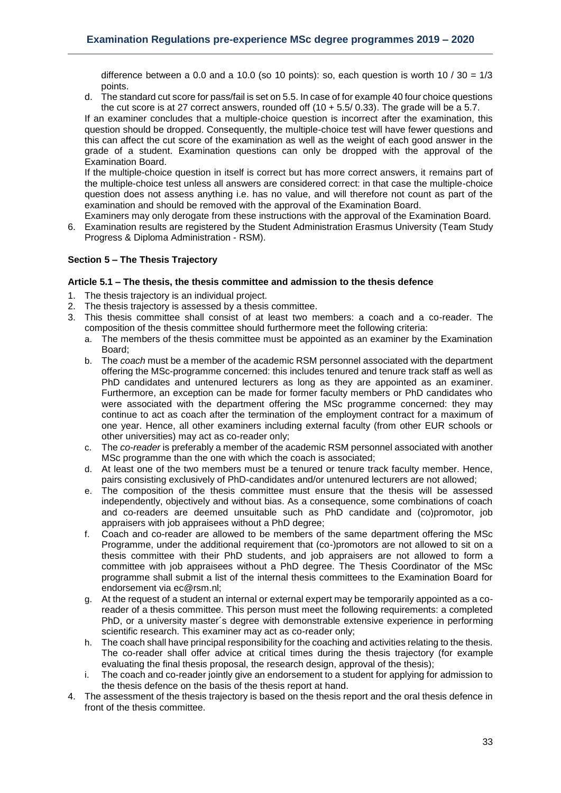difference between a 0.0 and a 10.0 (so 10 points): so, each question is worth 10 /  $30 = 1/3$ points.

d. The standard cut score for pass/fail is set on 5.5. In case of for example 40 four choice questions the cut score is at 27 correct answers, rounded off  $(10 + 5.5/ 0.33)$ . The grade will be a 5.7.

If an examiner concludes that a multiple-choice question is incorrect after the examination, this question should be dropped. Consequently, the multiple-choice test will have fewer questions and this can affect the cut score of the examination as well as the weight of each good answer in the grade of a student. Examination questions can only be dropped with the approval of the Examination Board.

If the multiple-choice question in itself is correct but has more correct answers, it remains part of the multiple-choice test unless all answers are considered correct: in that case the multiple-choice question does not assess anything i.e. has no value, and will therefore not count as part of the examination and should be removed with the approval of the Examination Board.

Examiners may only derogate from these instructions with the approval of the Examination Board. 6. Examination results are registered by the Student Administration Erasmus University (Team Study Progress & Diploma Administration - RSM).

#### <span id="page-32-0"></span>**Section 5 – The Thesis Trajectory**

## <span id="page-32-1"></span>**Article 5.1 – The thesis, the thesis committee and admission to the thesis defence**

- 1. The thesis trajectory is an individual project.
- 2. The thesis trajectory is assessed by a thesis committee.
- 3. This thesis committee shall consist of at least two members: a coach and a co-reader. The composition of the thesis committee should furthermore meet the following criteria:
	- a. The members of the thesis committee must be appointed as an examiner by the Examination Board;
	- b. The *coach* must be a member of the academic RSM personnel associated with the department offering the MSc-programme concerned: this includes tenured and tenure track staff as well as PhD candidates and untenured lecturers as long as they are appointed as an examiner. Furthermore, an exception can be made for former faculty members or PhD candidates who were associated with the department offering the MSc programme concerned: they may continue to act as coach after the termination of the employment contract for a maximum of one year. Hence, all other examiners including external faculty (from other EUR schools or other universities) may act as co-reader only;
	- c. The *co-reader* is preferably a member of the academic RSM personnel associated with another MSc programme than the one with which the coach is associated;
	- d. At least one of the two members must be a tenured or tenure track faculty member. Hence, pairs consisting exclusively of PhD-candidates and/or untenured lecturers are not allowed;
	- e. The composition of the thesis committee must ensure that the thesis will be assessed independently, objectively and without bias. As a consequence, some combinations of coach and co-readers are deemed unsuitable such as PhD candidate and (co)promotor, job appraisers with job appraisees without a PhD degree;
	- f. Coach and co-reader are allowed to be members of the same department offering the MSc Programme, under the additional requirement that (co-)promotors are not allowed to sit on a thesis committee with their PhD students, and job appraisers are not allowed to form a committee with job appraisees without a PhD degree. The Thesis Coordinator of the MSc programme shall submit a list of the internal thesis committees to the Examination Board for endorsement via ec@rsm.nl;
	- g. At the request of a student an internal or external expert may be temporarily appointed as a coreader of a thesis committee. This person must meet the following requirements: a completed PhD, or a university master´s degree with demonstrable extensive experience in performing scientific research. This examiner may act as co-reader only;
	- h. The coach shall have principal responsibility for the coaching and activities relating to the thesis. The co-reader shall offer advice at critical times during the thesis trajectory (for example evaluating the final thesis proposal, the research design, approval of the thesis);
	- i. The coach and co-reader jointly give an endorsement to a student for applying for admission to the thesis defence on the basis of the thesis report at hand.
- 4. The assessment of the thesis trajectory is based on the thesis report and the oral thesis defence in front of the thesis committee.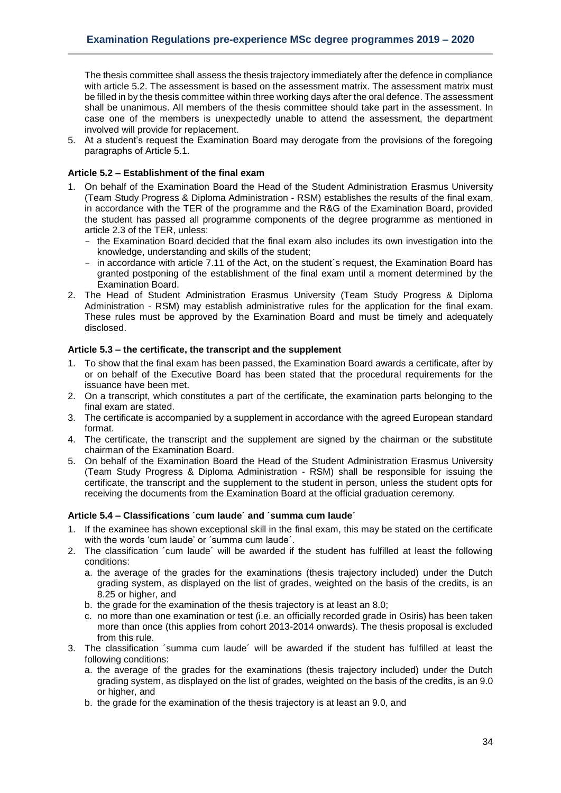The thesis committee shall assess the thesis trajectory immediately after the defence in compliance with article 5.2. The assessment is based on the assessment matrix. The assessment matrix must be filled in by the thesis committee within three working days after the oral defence. The assessment shall be unanimous. All members of the thesis committee should take part in the assessment. In case one of the members is unexpectedly unable to attend the assessment, the department involved will provide for replacement.

5. At a student's request the Examination Board may derogate from the provisions of the foregoing paragraphs of Article 5.1.

# <span id="page-33-0"></span>**Article 5.2 – Establishment of the final exam**

- 1. On behalf of the Examination Board the Head of the Student Administration Erasmus University (Team Study Progress & Diploma Administration - RSM) establishes the results of the final exam, in accordance with the TER of the programme and the R&G of the Examination Board, provided the student has passed all programme components of the degree programme as mentioned in article 2.3 of the TER, unless:
	- the Examination Board decided that the final exam also includes its own investigation into the knowledge, understanding and skills of the student;
	- in accordance with article 7.11 of the Act, on the student's request, the Examination Board has granted postponing of the establishment of the final exam until a moment determined by the Examination Board.
- 2. The Head of Student Administration Erasmus University (Team Study Progress & Diploma Administration - RSM) may establish administrative rules for the application for the final exam. These rules must be approved by the Examination Board and must be timely and adequately disclosed.

#### <span id="page-33-1"></span>**Article 5.3 – the certificate, the transcript and the supplement**

- 1. To show that the final exam has been passed, the Examination Board awards a certificate, after by or on behalf of the Executive Board has been stated that the procedural requirements for the issuance have been met.
- 2. On a transcript, which constitutes a part of the certificate, the examination parts belonging to the final exam are stated.
- 3. The certificate is accompanied by a supplement in accordance with the agreed European standard format.
- 4. The certificate, the transcript and the supplement are signed by the chairman or the substitute chairman of the Examination Board.
- 5. On behalf of the Examination Board the Head of the Student Administration Erasmus University (Team Study Progress & Diploma Administration - RSM) shall be responsible for issuing the certificate, the transcript and the supplement to the student in person, unless the student opts for receiving the documents from the Examination Board at the official graduation ceremony.

#### <span id="page-33-2"></span>**Article 5.4 – Classifications ´cum laude´ and ´summa cum laude´**

- 1. If the examinee has shown exceptional skill in the final exam, this may be stated on the certificate with the words 'cum laude' or ´summa cum laude´.
- 2. The classification ´cum laude´ will be awarded if the student has fulfilled at least the following conditions:
	- a. the average of the grades for the examinations (thesis trajectory included) under the Dutch grading system, as displayed on the list of grades, weighted on the basis of the credits, is an 8.25 or higher, and
	- b. the grade for the examination of the thesis trajectory is at least an 8.0;
	- c. no more than one examination or test (i.e. an officially recorded grade in Osiris) has been taken more than once (this applies from cohort 2013-2014 onwards). The thesis proposal is excluded from this rule.
- 3. The classification ´summa cum laude´ will be awarded if the student has fulfilled at least the following conditions:
	- a. the average of the grades for the examinations (thesis trajectory included) under the Dutch grading system, as displayed on the list of grades, weighted on the basis of the credits, is an 9.0 or higher, and
	- b. the grade for the examination of the thesis trajectory is at least an 9.0, and